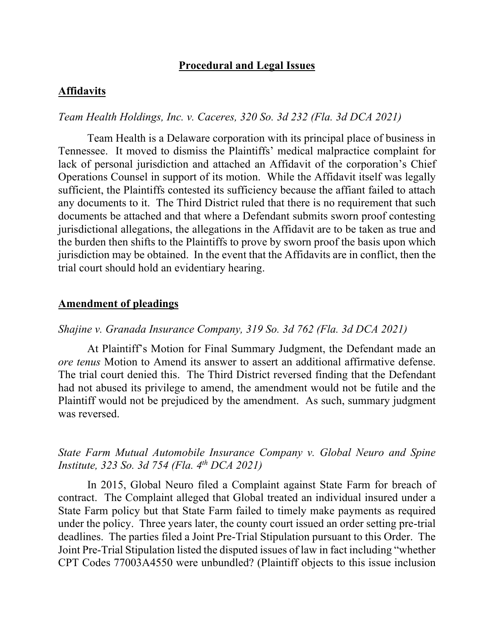### **Procedural and Legal Issues**

#### **Affidavits**

## *Team Health Holdings, Inc. v. Caceres, 320 So. 3d 232 (Fla. 3d DCA 2021)*

Team Health is a Delaware corporation with its principal place of business in Tennessee. It moved to dismiss the Plaintiffs' medical malpractice complaint for lack of personal jurisdiction and attached an Affidavit of the corporation's Chief Operations Counsel in support of its motion. While the Affidavit itself was legally sufficient, the Plaintiffs contested its sufficiency because the affiant failed to attach any documents to it. The Third District ruled that there is no requirement that such documents be attached and that where a Defendant submits sworn proof contesting jurisdictional allegations, the allegations in the Affidavit are to be taken as true and the burden then shifts to the Plaintiffs to prove by sworn proof the basis upon which jurisdiction may be obtained. In the event that the Affidavits are in conflict, then the trial court should hold an evidentiary hearing.

#### **Amendment of pleadings**

## *Shajine v. Granada Insurance Company, 319 So. 3d 762 (Fla. 3d DCA 2021)*

At Plaintiff's Motion for Final Summary Judgment, the Defendant made an *ore tenus* Motion to Amend its answer to assert an additional affirmative defense. The trial court denied this. The Third District reversed finding that the Defendant had not abused its privilege to amend, the amendment would not be futile and the Plaintiff would not be prejudiced by the amendment. As such, summary judgment was reversed.

## *State Farm Mutual Automobile Insurance Company v. Global Neuro and Spine Institute, 323 So. 3d 754 (Fla. 4th DCA 2021)*

In 2015, Global Neuro filed a Complaint against State Farm for breach of contract. The Complaint alleged that Global treated an individual insured under a State Farm policy but that State Farm failed to timely make payments as required under the policy. Three years later, the county court issued an order setting pre-trial deadlines. The parties filed a Joint Pre-Trial Stipulation pursuant to this Order. The Joint Pre-Trial Stipulation listed the disputed issues of law in fact including "whether CPT Codes 77003A4550 were unbundled? (Plaintiff objects to this issue inclusion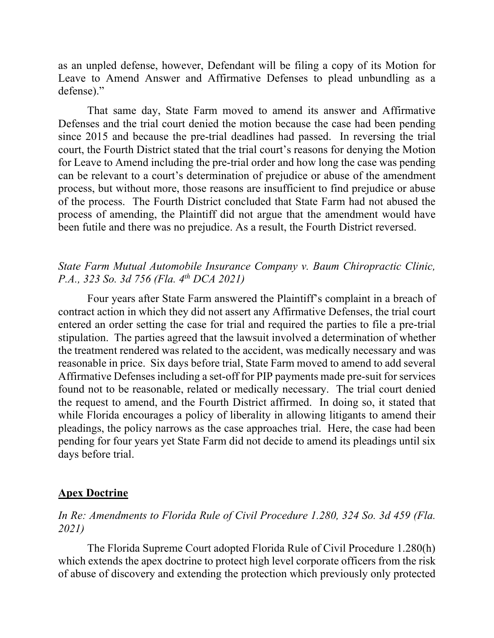as an unpled defense, however, Defendant will be filing a copy of its Motion for Leave to Amend Answer and Affirmative Defenses to plead unbundling as a defense)."

That same day, State Farm moved to amend its answer and Affirmative Defenses and the trial court denied the motion because the case had been pending since 2015 and because the pre-trial deadlines had passed. In reversing the trial court, the Fourth District stated that the trial court's reasons for denying the Motion for Leave to Amend including the pre-trial order and how long the case was pending can be relevant to a court's determination of prejudice or abuse of the amendment process, but without more, those reasons are insufficient to find prejudice or abuse of the process. The Fourth District concluded that State Farm had not abused the process of amending, the Plaintiff did not argue that the amendment would have been futile and there was no prejudice. As a result, the Fourth District reversed.

## *State Farm Mutual Automobile Insurance Company v. Baum Chiropractic Clinic, P.A., 323 So. 3d 756 (Fla. 4th DCA 2021)*

Four years after State Farm answered the Plaintiff's complaint in a breach of contract action in which they did not assert any Affirmative Defenses, the trial court entered an order setting the case for trial and required the parties to file a pre-trial stipulation. The parties agreed that the lawsuit involved a determination of whether the treatment rendered was related to the accident, was medically necessary and was reasonable in price. Six days before trial, State Farm moved to amend to add several Affirmative Defenses including a set-off for PIP payments made pre-suit for services found not to be reasonable, related or medically necessary. The trial court denied the request to amend, and the Fourth District affirmed. In doing so, it stated that while Florida encourages a policy of liberality in allowing litigants to amend their pleadings, the policy narrows as the case approaches trial. Here, the case had been pending for four years yet State Farm did not decide to amend its pleadings until six days before trial.

### **Apex Doctrine**

## *In Re: Amendments to Florida Rule of Civil Procedure 1.280, 324 So. 3d 459 (Fla. 2021)*

The Florida Supreme Court adopted Florida Rule of Civil Procedure 1.280(h) which extends the apex doctrine to protect high level corporate officers from the risk of abuse of discovery and extending the protection which previously only protected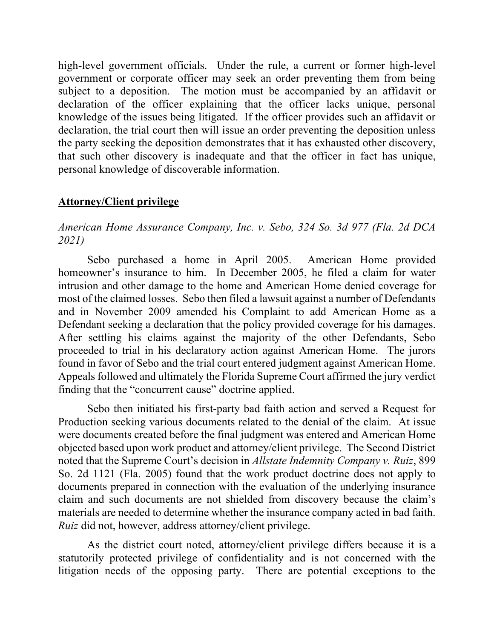high-level government officials. Under the rule, a current or former high-level government or corporate officer may seek an order preventing them from being subject to a deposition. The motion must be accompanied by an affidavit or declaration of the officer explaining that the officer lacks unique, personal knowledge of the issues being litigated. If the officer provides such an affidavit or declaration, the trial court then will issue an order preventing the deposition unless the party seeking the deposition demonstrates that it has exhausted other discovery, that such other discovery is inadequate and that the officer in fact has unique, personal knowledge of discoverable information.

### **Attorney/Client privilege**

## *American Home Assurance Company, Inc. v. Sebo, 324 So. 3d 977 (Fla. 2d DCA 2021)*

Sebo purchased a home in April 2005. American Home provided homeowner's insurance to him. In December 2005, he filed a claim for water intrusion and other damage to the home and American Home denied coverage for most of the claimed losses. Sebo then filed a lawsuit against a number of Defendants and in November 2009 amended his Complaint to add American Home as a Defendant seeking a declaration that the policy provided coverage for his damages. After settling his claims against the majority of the other Defendants, Sebo proceeded to trial in his declaratory action against American Home. The jurors found in favor of Sebo and the trial court entered judgment against American Home. Appeals followed and ultimately the Florida Supreme Court affirmed the jury verdict finding that the "concurrent cause" doctrine applied.

Sebo then initiated his first-party bad faith action and served a Request for Production seeking various documents related to the denial of the claim. At issue were documents created before the final judgment was entered and American Home objected based upon work product and attorney/client privilege. The Second District noted that the Supreme Court's decision in *Allstate Indemnity Company v. Ruiz*, 899 So. 2d 1121 (Fla. 2005) found that the work product doctrine does not apply to documents prepared in connection with the evaluation of the underlying insurance claim and such documents are not shielded from discovery because the claim's materials are needed to determine whether the insurance company acted in bad faith. *Ruiz* did not, however, address attorney/client privilege.

As the district court noted, attorney/client privilege differs because it is a statutorily protected privilege of confidentiality and is not concerned with the litigation needs of the opposing party. There are potential exceptions to the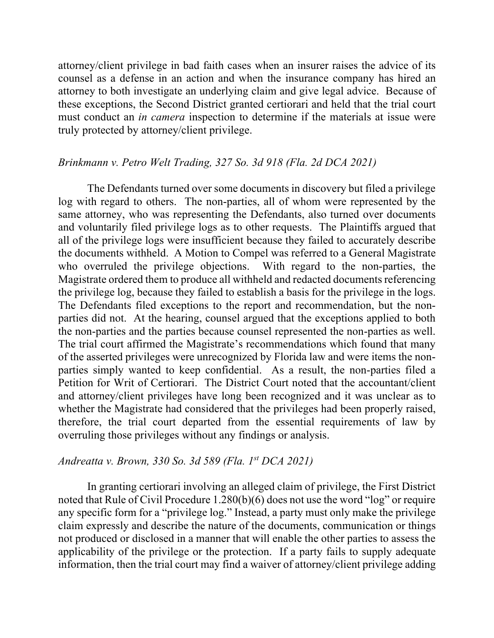attorney/client privilege in bad faith cases when an insurer raises the advice of its counsel as a defense in an action and when the insurance company has hired an attorney to both investigate an underlying claim and give legal advice. Because of these exceptions, the Second District granted certiorari and held that the trial court must conduct an *in camera* inspection to determine if the materials at issue were truly protected by attorney/client privilege.

## *Brinkmann v. Petro Welt Trading, 327 So. 3d 918 (Fla. 2d DCA 2021)*

The Defendants turned over some documents in discovery but filed a privilege log with regard to others. The non-parties, all of whom were represented by the same attorney, who was representing the Defendants, also turned over documents and voluntarily filed privilege logs as to other requests. The Plaintiffs argued that all of the privilege logs were insufficient because they failed to accurately describe the documents withheld. A Motion to Compel was referred to a General Magistrate who overruled the privilege objections. With regard to the non-parties, the Magistrate ordered them to produce all withheld and redacted documents referencing the privilege log, because they failed to establish a basis for the privilege in the logs. The Defendants filed exceptions to the report and recommendation, but the nonparties did not. At the hearing, counsel argued that the exceptions applied to both the non-parties and the parties because counsel represented the non-parties as well. The trial court affirmed the Magistrate's recommendations which found that many of the asserted privileges were unrecognized by Florida law and were items the nonparties simply wanted to keep confidential. As a result, the non-parties filed a Petition for Writ of Certiorari. The District Court noted that the accountant/client and attorney/client privileges have long been recognized and it was unclear as to whether the Magistrate had considered that the privileges had been properly raised, therefore, the trial court departed from the essential requirements of law by overruling those privileges without any findings or analysis.

#### *Andreatta v. Brown, 330 So. 3d 589 (Fla. 1st DCA 2021)*

In granting certiorari involving an alleged claim of privilege, the First District noted that Rule of Civil Procedure 1.280(b)(6) does not use the word "log" or require any specific form for a "privilege log." Instead, a party must only make the privilege claim expressly and describe the nature of the documents, communication or things not produced or disclosed in a manner that will enable the other parties to assess the applicability of the privilege or the protection. If a party fails to supply adequate information, then the trial court may find a waiver of attorney/client privilege adding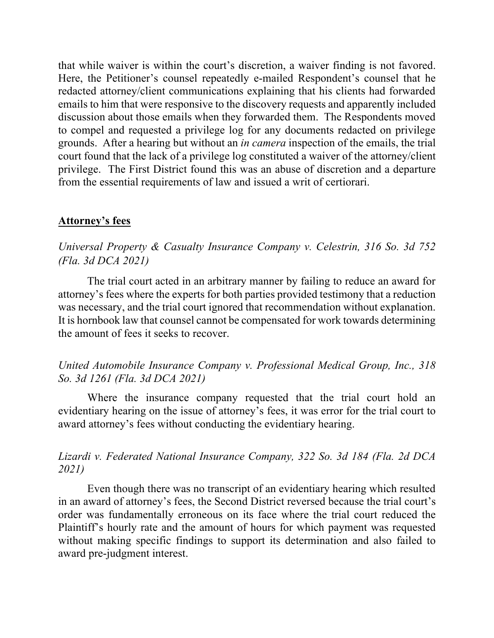that while waiver is within the court's discretion, a waiver finding is not favored. Here, the Petitioner's counsel repeatedly e-mailed Respondent's counsel that he redacted attorney/client communications explaining that his clients had forwarded emails to him that were responsive to the discovery requests and apparently included discussion about those emails when they forwarded them. The Respondents moved to compel and requested a privilege log for any documents redacted on privilege grounds. After a hearing but without an *in camera* inspection of the emails, the trial court found that the lack of a privilege log constituted a waiver of the attorney/client privilege. The First District found this was an abuse of discretion and a departure from the essential requirements of law and issued a writ of certiorari.

## **Attorney's fees**

*Universal Property & Casualty Insurance Company v. Celestrin, 316 So. 3d 752 (Fla. 3d DCA 2021)*

The trial court acted in an arbitrary manner by failing to reduce an award for attorney's fees where the experts for both parties provided testimony that a reduction was necessary, and the trial court ignored that recommendation without explanation. It is hornbook law that counsel cannot be compensated for work towards determining the amount of fees it seeks to recover.

## *United Automobile Insurance Company v. Professional Medical Group, Inc., 318 So. 3d 1261 (Fla. 3d DCA 2021)*

Where the insurance company requested that the trial court hold an evidentiary hearing on the issue of attorney's fees, it was error for the trial court to award attorney's fees without conducting the evidentiary hearing.

## *Lizardi v. Federated National Insurance Company, 322 So. 3d 184 (Fla. 2d DCA 2021)*

Even though there was no transcript of an evidentiary hearing which resulted in an award of attorney's fees, the Second District reversed because the trial court's order was fundamentally erroneous on its face where the trial court reduced the Plaintiff's hourly rate and the amount of hours for which payment was requested without making specific findings to support its determination and also failed to award pre-judgment interest.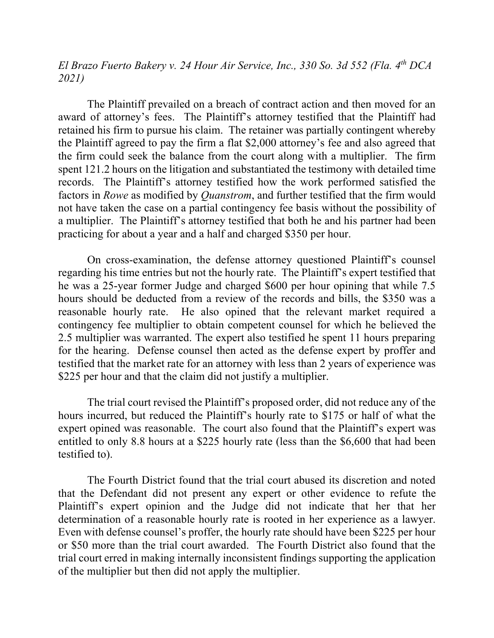*El Brazo Fuerto Bakery v. 24 Hour Air Service, Inc., 330 So. 3d 552 (Fla. 4th DCA 2021)*

The Plaintiff prevailed on a breach of contract action and then moved for an award of attorney's fees. The Plaintiff's attorney testified that the Plaintiff had retained his firm to pursue his claim. The retainer was partially contingent whereby the Plaintiff agreed to pay the firm a flat \$2,000 attorney's fee and also agreed that the firm could seek the balance from the court along with a multiplier. The firm spent 121.2 hours on the litigation and substantiated the testimony with detailed time records. The Plaintiff's attorney testified how the work performed satisfied the factors in *Rowe* as modified by *Quanstrom*, and further testified that the firm would not have taken the case on a partial contingency fee basis without the possibility of a multiplier. The Plaintiff's attorney testified that both he and his partner had been practicing for about a year and a half and charged \$350 per hour.

On cross-examination, the defense attorney questioned Plaintiff's counsel regarding his time entries but not the hourly rate. The Plaintiff's expert testified that he was a 25-year former Judge and charged \$600 per hour opining that while 7.5 hours should be deducted from a review of the records and bills, the \$350 was a reasonable hourly rate. He also opined that the relevant market required a contingency fee multiplier to obtain competent counsel for which he believed the 2.5 multiplier was warranted. The expert also testified he spent 11 hours preparing for the hearing. Defense counsel then acted as the defense expert by proffer and testified that the market rate for an attorney with less than 2 years of experience was \$225 per hour and that the claim did not justify a multiplier.

The trial court revised the Plaintiff's proposed order, did not reduce any of the hours incurred, but reduced the Plaintiff's hourly rate to \$175 or half of what the expert opined was reasonable. The court also found that the Plaintiff's expert was entitled to only 8.8 hours at a \$225 hourly rate (less than the \$6,600 that had been testified to).

The Fourth District found that the trial court abused its discretion and noted that the Defendant did not present any expert or other evidence to refute the Plaintiff's expert opinion and the Judge did not indicate that her that her determination of a reasonable hourly rate is rooted in her experience as a lawyer. Even with defense counsel's proffer, the hourly rate should have been \$225 per hour or \$50 more than the trial court awarded. The Fourth District also found that the trial court erred in making internally inconsistent findings supporting the application of the multiplier but then did not apply the multiplier.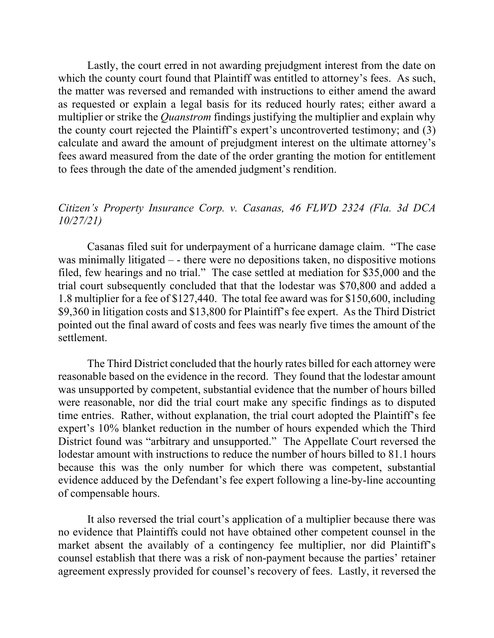Lastly, the court erred in not awarding prejudgment interest from the date on which the county court found that Plaintiff was entitled to attorney's fees. As such, the matter was reversed and remanded with instructions to either amend the award as requested or explain a legal basis for its reduced hourly rates; either award a multiplier or strike the *Quanstrom* findings justifying the multiplier and explain why the county court rejected the Plaintiff's expert's uncontroverted testimony; and (3) calculate and award the amount of prejudgment interest on the ultimate attorney's fees award measured from the date of the order granting the motion for entitlement to fees through the date of the amended judgment's rendition.

## *Citizen's Property Insurance Corp. v. Casanas, 46 FLWD 2324 (Fla. 3d DCA 10/27/21)*

Casanas filed suit for underpayment of a hurricane damage claim. "The case was minimally litigated – - there were no depositions taken, no dispositive motions filed, few hearings and no trial." The case settled at mediation for \$35,000 and the trial court subsequently concluded that that the lodestar was \$70,800 and added a 1.8 multiplier for a fee of \$127,440. The total fee award was for \$150,600, including \$9,360 in litigation costs and \$13,800 for Plaintiff's fee expert. As the Third District pointed out the final award of costs and fees was nearly five times the amount of the settlement.

The Third District concluded that the hourly rates billed for each attorney were reasonable based on the evidence in the record. They found that the lodestar amount was unsupported by competent, substantial evidence that the number of hours billed were reasonable, nor did the trial court make any specific findings as to disputed time entries. Rather, without explanation, the trial court adopted the Plaintiff's fee expert's 10% blanket reduction in the number of hours expended which the Third District found was "arbitrary and unsupported." The Appellate Court reversed the lodestar amount with instructions to reduce the number of hours billed to 81.1 hours because this was the only number for which there was competent, substantial evidence adduced by the Defendant's fee expert following a line-by-line accounting of compensable hours.

It also reversed the trial court's application of a multiplier because there was no evidence that Plaintiffs could not have obtained other competent counsel in the market absent the availably of a contingency fee multiplier, nor did Plaintiff's counsel establish that there was a risk of non-payment because the parties' retainer agreement expressly provided for counsel's recovery of fees. Lastly, it reversed the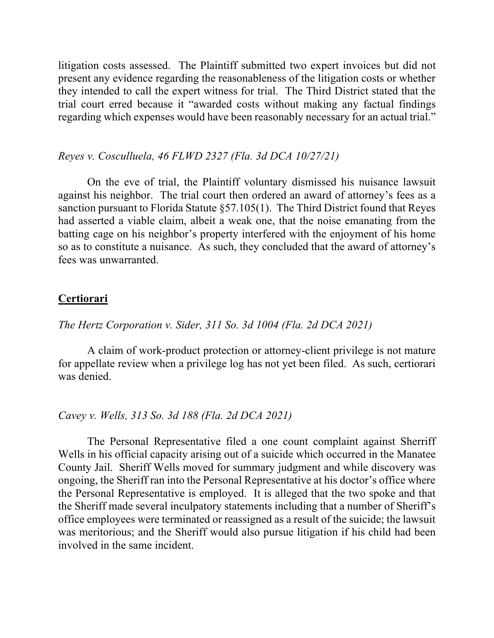litigation costs assessed. The Plaintiff submitted two expert invoices but did not present any evidence regarding the reasonableness of the litigation costs or whether they intended to call the expert witness for trial. The Third District stated that the trial court erred because it "awarded costs without making any factual findings regarding which expenses would have been reasonably necessary for an actual trial."

#### *Reyes v. Cosculluela, 46 FLWD 2327 (Fla. 3d DCA 10/27/21)*

On the eve of trial, the Plaintiff voluntary dismissed his nuisance lawsuit against his neighbor. The trial court then ordered an award of attorney's fees as a sanction pursuant to Florida Statute §57.105(1). The Third District found that Reyes had asserted a viable claim, albeit a weak one, that the noise emanating from the batting cage on his neighbor's property interfered with the enjoyment of his home so as to constitute a nuisance. As such, they concluded that the award of attorney's fees was unwarranted.

### **Certiorari**

## *The Hertz Corporation v. Sider, 311 So. 3d 1004 (Fla. 2d DCA 2021)*

A claim of work-product protection or attorney-client privilege is not mature for appellate review when a privilege log has not yet been filed. As such, certiorari was denied.

#### *Cavey v. Wells, 313 So. 3d 188 (Fla. 2d DCA 2021)*

The Personal Representative filed a one count complaint against Sherriff Wells in his official capacity arising out of a suicide which occurred in the Manatee County Jail. Sheriff Wells moved for summary judgment and while discovery was ongoing, the Sheriff ran into the Personal Representative at his doctor's office where the Personal Representative is employed. It is alleged that the two spoke and that the Sheriff made several inculpatory statements including that a number of Sheriff's office employees were terminated or reassigned as a result of the suicide; the lawsuit was meritorious; and the Sheriff would also pursue litigation if his child had been involved in the same incident.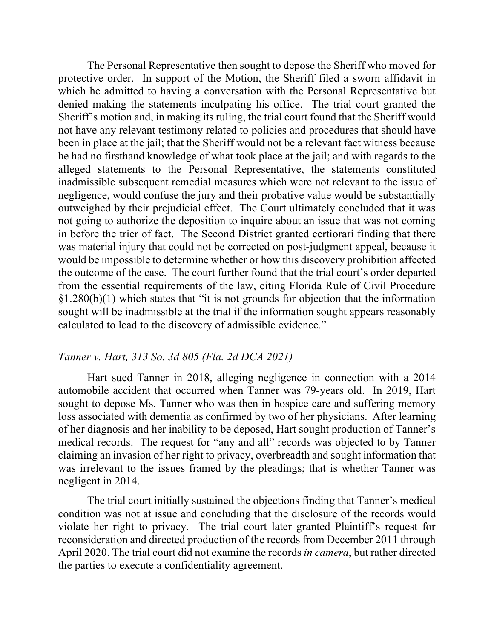The Personal Representative then sought to depose the Sheriff who moved for protective order. In support of the Motion, the Sheriff filed a sworn affidavit in which he admitted to having a conversation with the Personal Representative but denied making the statements inculpating his office. The trial court granted the Sheriff's motion and, in making its ruling, the trial court found that the Sheriff would not have any relevant testimony related to policies and procedures that should have been in place at the jail; that the Sheriff would not be a relevant fact witness because he had no firsthand knowledge of what took place at the jail; and with regards to the alleged statements to the Personal Representative, the statements constituted inadmissible subsequent remedial measures which were not relevant to the issue of negligence, would confuse the jury and their probative value would be substantially outweighed by their prejudicial effect. The Court ultimately concluded that it was not going to authorize the deposition to inquire about an issue that was not coming in before the trier of fact. The Second District granted certiorari finding that there was material injury that could not be corrected on post-judgment appeal, because it would be impossible to determine whether or how this discovery prohibition affected the outcome of the case. The court further found that the trial court's order departed from the essential requirements of the law, citing Florida Rule of Civil Procedure §1.280(b)(1) which states that "it is not grounds for objection that the information sought will be inadmissible at the trial if the information sought appears reasonably calculated to lead to the discovery of admissible evidence."

#### *Tanner v. Hart, 313 So. 3d 805 (Fla. 2d DCA 2021)*

Hart sued Tanner in 2018, alleging negligence in connection with a 2014 automobile accident that occurred when Tanner was 79-years old. In 2019, Hart sought to depose Ms. Tanner who was then in hospice care and suffering memory loss associated with dementia as confirmed by two of her physicians. After learning of her diagnosis and her inability to be deposed, Hart sought production of Tanner's medical records. The request for "any and all" records was objected to by Tanner claiming an invasion of her right to privacy, overbreadth and sought information that was irrelevant to the issues framed by the pleadings; that is whether Tanner was negligent in 2014.

The trial court initially sustained the objections finding that Tanner's medical condition was not at issue and concluding that the disclosure of the records would violate her right to privacy. The trial court later granted Plaintiff's request for reconsideration and directed production of the records from December 2011 through April 2020. The trial court did not examine the records *in camera*, but rather directed the parties to execute a confidentiality agreement.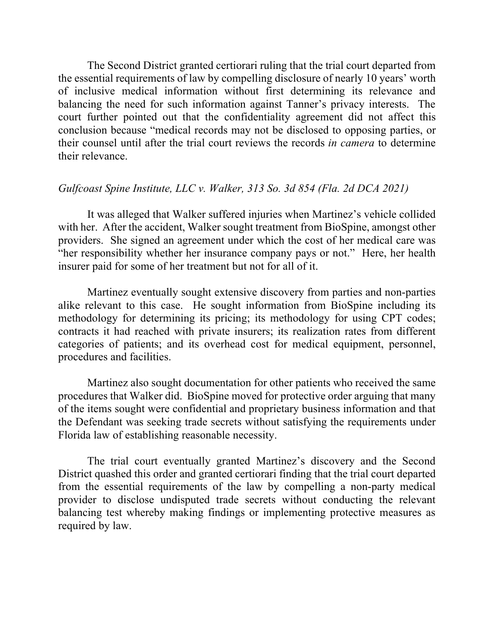The Second District granted certiorari ruling that the trial court departed from the essential requirements of law by compelling disclosure of nearly 10 years' worth of inclusive medical information without first determining its relevance and balancing the need for such information against Tanner's privacy interests. The court further pointed out that the confidentiality agreement did not affect this conclusion because "medical records may not be disclosed to opposing parties, or their counsel until after the trial court reviews the records *in camera* to determine their relevance.

## *Gulfcoast Spine Institute, LLC v. Walker, 313 So. 3d 854 (Fla. 2d DCA 2021)*

It was alleged that Walker suffered injuries when Martinez's vehicle collided with her. After the accident, Walker sought treatment from BioSpine, amongst other providers. She signed an agreement under which the cost of her medical care was "her responsibility whether her insurance company pays or not." Here, her health insurer paid for some of her treatment but not for all of it.

Martinez eventually sought extensive discovery from parties and non-parties alike relevant to this case. He sought information from BioSpine including its methodology for determining its pricing; its methodology for using CPT codes; contracts it had reached with private insurers; its realization rates from different categories of patients; and its overhead cost for medical equipment, personnel, procedures and facilities.

Martinez also sought documentation for other patients who received the same procedures that Walker did. BioSpine moved for protective order arguing that many of the items sought were confidential and proprietary business information and that the Defendant was seeking trade secrets without satisfying the requirements under Florida law of establishing reasonable necessity.

The trial court eventually granted Martinez's discovery and the Second District quashed this order and granted certiorari finding that the trial court departed from the essential requirements of the law by compelling a non-party medical provider to disclose undisputed trade secrets without conducting the relevant balancing test whereby making findings or implementing protective measures as required by law.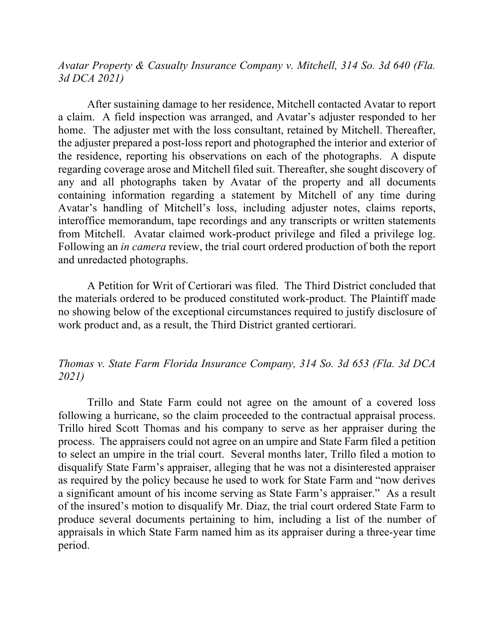*Avatar Property & Casualty Insurance Company v. Mitchell, 314 So. 3d 640 (Fla. 3d DCA 2021)*

After sustaining damage to her residence, Mitchell contacted Avatar to report a claim. A field inspection was arranged, and Avatar's adjuster responded to her home. The adjuster met with the loss consultant, retained by Mitchell. Thereafter, the adjuster prepared a post-loss report and photographed the interior and exterior of the residence, reporting his observations on each of the photographs. A dispute regarding coverage arose and Mitchell filed suit. Thereafter, she sought discovery of any and all photographs taken by Avatar of the property and all documents containing information regarding a statement by Mitchell of any time during Avatar's handling of Mitchell's loss, including adjuster notes, claims reports, interoffice memorandum, tape recordings and any transcripts or written statements from Mitchell. Avatar claimed work-product privilege and filed a privilege log. Following an *in camera* review, the trial court ordered production of both the report and unredacted photographs.

A Petition for Writ of Certiorari was filed. The Third District concluded that the materials ordered to be produced constituted work-product. The Plaintiff made no showing below of the exceptional circumstances required to justify disclosure of work product and, as a result, the Third District granted certiorari.

## *Thomas v. State Farm Florida Insurance Company, 314 So. 3d 653 (Fla. 3d DCA 2021)*

Trillo and State Farm could not agree on the amount of a covered loss following a hurricane, so the claim proceeded to the contractual appraisal process. Trillo hired Scott Thomas and his company to serve as her appraiser during the process. The appraisers could not agree on an umpire and State Farm filed a petition to select an umpire in the trial court. Several months later, Trillo filed a motion to disqualify State Farm's appraiser, alleging that he was not a disinterested appraiser as required by the policy because he used to work for State Farm and "now derives a significant amount of his income serving as State Farm's appraiser." As a result of the insured's motion to disqualify Mr. Diaz, the trial court ordered State Farm to produce several documents pertaining to him, including a list of the number of appraisals in which State Farm named him as its appraiser during a three-year time period.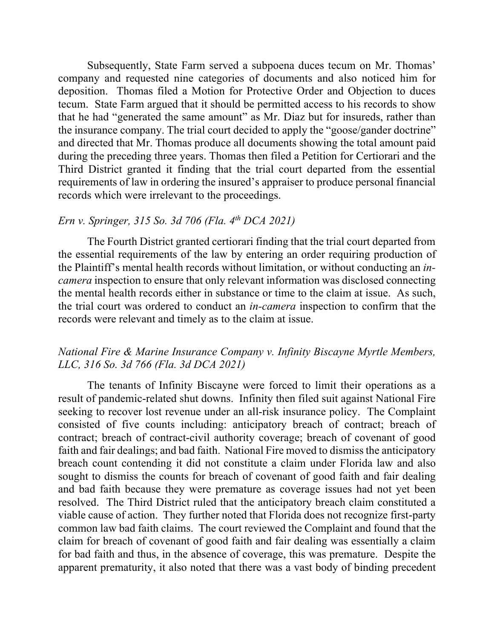Subsequently, State Farm served a subpoena duces tecum on Mr. Thomas' company and requested nine categories of documents and also noticed him for deposition. Thomas filed a Motion for Protective Order and Objection to duces tecum. State Farm argued that it should be permitted access to his records to show that he had "generated the same amount" as Mr. Diaz but for insureds, rather than the insurance company. The trial court decided to apply the "goose/gander doctrine" and directed that Mr. Thomas produce all documents showing the total amount paid during the preceding three years. Thomas then filed a Petition for Certiorari and the Third District granted it finding that the trial court departed from the essential requirements of law in ordering the insured's appraiser to produce personal financial records which were irrelevant to the proceedings.

## *Ern v. Springer, 315 So. 3d 706 (Fla. 4th DCA 2021)*

The Fourth District granted certiorari finding that the trial court departed from the essential requirements of the law by entering an order requiring production of the Plaintiff's mental health records without limitation, or without conducting an *incamera* inspection to ensure that only relevant information was disclosed connecting the mental health records either in substance or time to the claim at issue. As such, the trial court was ordered to conduct an *in-camera* inspection to confirm that the records were relevant and timely as to the claim at issue.

## *National Fire & Marine Insurance Company v. Infinity Biscayne Myrtle Members, LLC, 316 So. 3d 766 (Fla. 3d DCA 2021)*

The tenants of Infinity Biscayne were forced to limit their operations as a result of pandemic-related shut downs. Infinity then filed suit against National Fire seeking to recover lost revenue under an all-risk insurance policy. The Complaint consisted of five counts including: anticipatory breach of contract; breach of contract; breach of contract-civil authority coverage; breach of covenant of good faith and fair dealings; and bad faith. National Fire moved to dismiss the anticipatory breach count contending it did not constitute a claim under Florida law and also sought to dismiss the counts for breach of covenant of good faith and fair dealing and bad faith because they were premature as coverage issues had not yet been resolved. The Third District ruled that the anticipatory breach claim constituted a viable cause of action. They further noted that Florida does not recognize first-party common law bad faith claims. The court reviewed the Complaint and found that the claim for breach of covenant of good faith and fair dealing was essentially a claim for bad faith and thus, in the absence of coverage, this was premature. Despite the apparent prematurity, it also noted that there was a vast body of binding precedent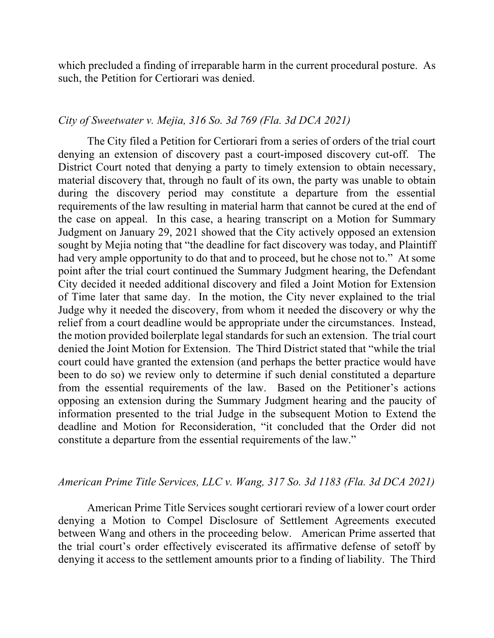which precluded a finding of irreparable harm in the current procedural posture. As such, the Petition for Certiorari was denied.

### *City of Sweetwater v. Mejia, 316 So. 3d 769 (Fla. 3d DCA 2021)*

The City filed a Petition for Certiorari from a series of orders of the trial court denying an extension of discovery past a court-imposed discovery cut-off. The District Court noted that denying a party to timely extension to obtain necessary, material discovery that, through no fault of its own, the party was unable to obtain during the discovery period may constitute a departure from the essential requirements of the law resulting in material harm that cannot be cured at the end of the case on appeal. In this case, a hearing transcript on a Motion for Summary Judgment on January 29, 2021 showed that the City actively opposed an extension sought by Mejia noting that "the deadline for fact discovery was today, and Plaintiff had very ample opportunity to do that and to proceed, but he chose not to." At some point after the trial court continued the Summary Judgment hearing, the Defendant City decided it needed additional discovery and filed a Joint Motion for Extension of Time later that same day. In the motion, the City never explained to the trial Judge why it needed the discovery, from whom it needed the discovery or why the relief from a court deadline would be appropriate under the circumstances. Instead, the motion provided boilerplate legal standards for such an extension. The trial court denied the Joint Motion for Extension. The Third District stated that "while the trial court could have granted the extension (and perhaps the better practice would have been to do so) we review only to determine if such denial constituted a departure from the essential requirements of the law. Based on the Petitioner's actions opposing an extension during the Summary Judgment hearing and the paucity of information presented to the trial Judge in the subsequent Motion to Extend the deadline and Motion for Reconsideration, "it concluded that the Order did not constitute a departure from the essential requirements of the law."

#### *American Prime Title Services, LLC v. Wang, 317 So. 3d 1183 (Fla. 3d DCA 2021)*

American Prime Title Services sought certiorari review of a lower court order denying a Motion to Compel Disclosure of Settlement Agreements executed between Wang and others in the proceeding below. American Prime asserted that the trial court's order effectively eviscerated its affirmative defense of setoff by denying it access to the settlement amounts prior to a finding of liability. The Third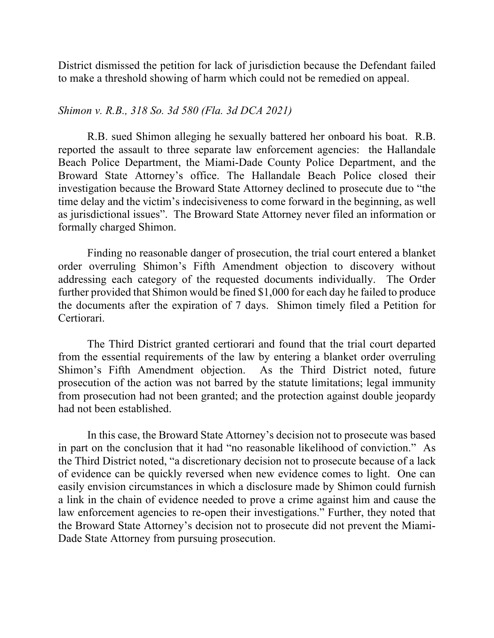District dismissed the petition for lack of jurisdiction because the Defendant failed to make a threshold showing of harm which could not be remedied on appeal.

### *Shimon v. R.B., 318 So. 3d 580 (Fla. 3d DCA 2021)*

R.B. sued Shimon alleging he sexually battered her onboard his boat. R.B. reported the assault to three separate law enforcement agencies: the Hallandale Beach Police Department, the Miami-Dade County Police Department, and the Broward State Attorney's office. The Hallandale Beach Police closed their investigation because the Broward State Attorney declined to prosecute due to "the time delay and the victim's indecisiveness to come forward in the beginning, as well as jurisdictional issues". The Broward State Attorney never filed an information or formally charged Shimon.

Finding no reasonable danger of prosecution, the trial court entered a blanket order overruling Shimon's Fifth Amendment objection to discovery without addressing each category of the requested documents individually. The Order further provided that Shimon would be fined \$1,000 for each day he failed to produce the documents after the expiration of 7 days. Shimon timely filed a Petition for Certiorari.

The Third District granted certiorari and found that the trial court departed from the essential requirements of the law by entering a blanket order overruling Shimon's Fifth Amendment objection. As the Third District noted, future prosecution of the action was not barred by the statute limitations; legal immunity from prosecution had not been granted; and the protection against double jeopardy had not been established.

In this case, the Broward State Attorney's decision not to prosecute was based in part on the conclusion that it had "no reasonable likelihood of conviction." As the Third District noted, "a discretionary decision not to prosecute because of a lack of evidence can be quickly reversed when new evidence comes to light. One can easily envision circumstances in which a disclosure made by Shimon could furnish a link in the chain of evidence needed to prove a crime against him and cause the law enforcement agencies to re-open their investigations." Further, they noted that the Broward State Attorney's decision not to prosecute did not prevent the Miami-Dade State Attorney from pursuing prosecution.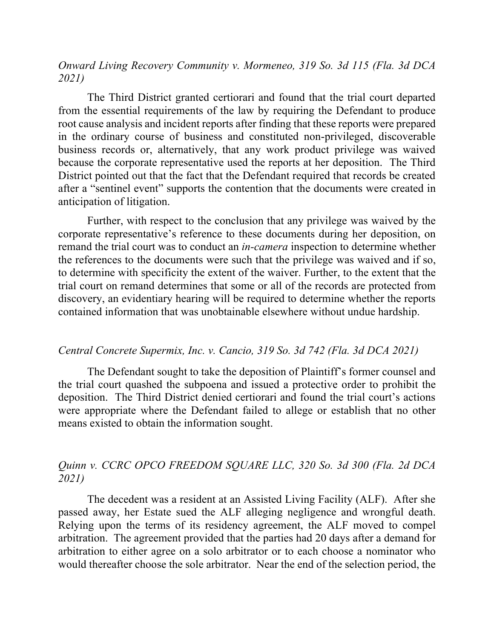*Onward Living Recovery Community v. Mormeneo, 319 So. 3d 115 (Fla. 3d DCA 2021)*

The Third District granted certiorari and found that the trial court departed from the essential requirements of the law by requiring the Defendant to produce root cause analysis and incident reports after finding that these reports were prepared in the ordinary course of business and constituted non-privileged, discoverable business records or, alternatively, that any work product privilege was waived because the corporate representative used the reports at her deposition. The Third District pointed out that the fact that the Defendant required that records be created after a "sentinel event" supports the contention that the documents were created in anticipation of litigation.

Further, with respect to the conclusion that any privilege was waived by the corporate representative's reference to these documents during her deposition, on remand the trial court was to conduct an *in-camera* inspection to determine whether the references to the documents were such that the privilege was waived and if so, to determine with specificity the extent of the waiver. Further, to the extent that the trial court on remand determines that some or all of the records are protected from discovery, an evidentiary hearing will be required to determine whether the reports contained information that was unobtainable elsewhere without undue hardship.

#### *Central Concrete Supermix, Inc. v. Cancio, 319 So. 3d 742 (Fla. 3d DCA 2021)*

The Defendant sought to take the deposition of Plaintiff's former counsel and the trial court quashed the subpoena and issued a protective order to prohibit the deposition. The Third District denied certiorari and found the trial court's actions were appropriate where the Defendant failed to allege or establish that no other means existed to obtain the information sought.

## *Quinn v. CCRC OPCO FREEDOM SQUARE LLC, 320 So. 3d 300 (Fla. 2d DCA 2021)*

The decedent was a resident at an Assisted Living Facility (ALF). After she passed away, her Estate sued the ALF alleging negligence and wrongful death. Relying upon the terms of its residency agreement, the ALF moved to compel arbitration. The agreement provided that the parties had 20 days after a demand for arbitration to either agree on a solo arbitrator or to each choose a nominator who would thereafter choose the sole arbitrator. Near the end of the selection period, the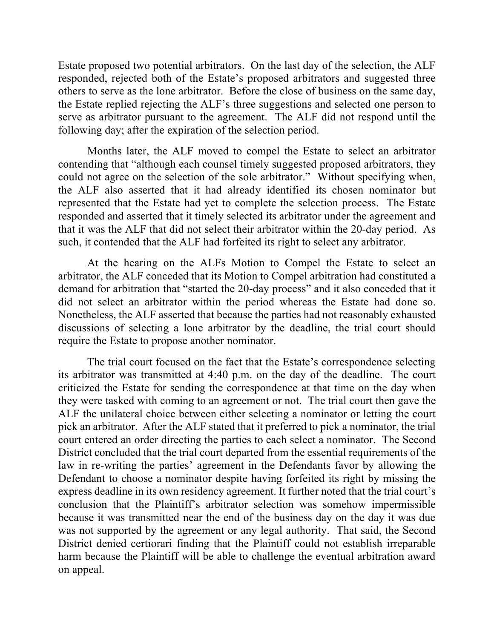Estate proposed two potential arbitrators. On the last day of the selection, the ALF responded, rejected both of the Estate's proposed arbitrators and suggested three others to serve as the lone arbitrator. Before the close of business on the same day, the Estate replied rejecting the ALF's three suggestions and selected one person to serve as arbitrator pursuant to the agreement. The ALF did not respond until the following day; after the expiration of the selection period.

Months later, the ALF moved to compel the Estate to select an arbitrator contending that "although each counsel timely suggested proposed arbitrators, they could not agree on the selection of the sole arbitrator." Without specifying when, the ALF also asserted that it had already identified its chosen nominator but represented that the Estate had yet to complete the selection process. The Estate responded and asserted that it timely selected its arbitrator under the agreement and that it was the ALF that did not select their arbitrator within the 20-day period. As such, it contended that the ALF had forfeited its right to select any arbitrator.

At the hearing on the ALFs Motion to Compel the Estate to select an arbitrator, the ALF conceded that its Motion to Compel arbitration had constituted a demand for arbitration that "started the 20-day process" and it also conceded that it did not select an arbitrator within the period whereas the Estate had done so. Nonetheless, the ALF asserted that because the parties had not reasonably exhausted discussions of selecting a lone arbitrator by the deadline, the trial court should require the Estate to propose another nominator.

The trial court focused on the fact that the Estate's correspondence selecting its arbitrator was transmitted at 4:40 p.m. on the day of the deadline. The court criticized the Estate for sending the correspondence at that time on the day when they were tasked with coming to an agreement or not. The trial court then gave the ALF the unilateral choice between either selecting a nominator or letting the court pick an arbitrator. After the ALF stated that it preferred to pick a nominator, the trial court entered an order directing the parties to each select a nominator. The Second District concluded that the trial court departed from the essential requirements of the law in re-writing the parties' agreement in the Defendants favor by allowing the Defendant to choose a nominator despite having forfeited its right by missing the express deadline in its own residency agreement. It further noted that the trial court's conclusion that the Plaintiff's arbitrator selection was somehow impermissible because it was transmitted near the end of the business day on the day it was due was not supported by the agreement or any legal authority. That said, the Second District denied certiorari finding that the Plaintiff could not establish irreparable harm because the Plaintiff will be able to challenge the eventual arbitration award on appeal.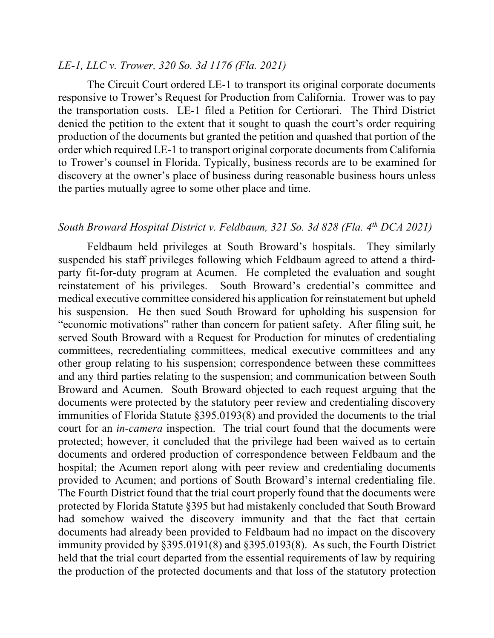#### *LE-1, LLC v. Trower, 320 So. 3d 1176 (Fla. 2021)*

The Circuit Court ordered LE-1 to transport its original corporate documents responsive to Trower's Request for Production from California. Trower was to pay the transportation costs. LE-1 filed a Petition for Certiorari. The Third District denied the petition to the extent that it sought to quash the court's order requiring production of the documents but granted the petition and quashed that portion of the order which required LE-1 to transport original corporate documents from California to Trower's counsel in Florida. Typically, business records are to be examined for discovery at the owner's place of business during reasonable business hours unless the parties mutually agree to some other place and time.

## *South Broward Hospital District v. Feldbaum, 321 So. 3d 828 (Fla. 4th DCA 2021)*

Feldbaum held privileges at South Broward's hospitals. They similarly suspended his staff privileges following which Feldbaum agreed to attend a thirdparty fit-for-duty program at Acumen. He completed the evaluation and sought reinstatement of his privileges. South Broward's credential's committee and medical executive committee considered his application for reinstatement but upheld his suspension. He then sued South Broward for upholding his suspension for "economic motivations" rather than concern for patient safety. After filing suit, he served South Broward with a Request for Production for minutes of credentialing committees, recredentialing committees, medical executive committees and any other group relating to his suspension; correspondence between these committees and any third parties relating to the suspension; and communication between South Broward and Acumen. South Broward objected to each request arguing that the documents were protected by the statutory peer review and credentialing discovery immunities of Florida Statute §395.0193(8) and provided the documents to the trial court for an *in-camera* inspection. The trial court found that the documents were protected; however, it concluded that the privilege had been waived as to certain documents and ordered production of correspondence between Feldbaum and the hospital; the Acumen report along with peer review and credentialing documents provided to Acumen; and portions of South Broward's internal credentialing file. The Fourth District found that the trial court properly found that the documents were protected by Florida Statute §395 but had mistakenly concluded that South Broward had somehow waived the discovery immunity and that the fact that certain documents had already been provided to Feldbaum had no impact on the discovery immunity provided by §395.0191(8) and §395.0193(8). As such, the Fourth District held that the trial court departed from the essential requirements of law by requiring the production of the protected documents and that loss of the statutory protection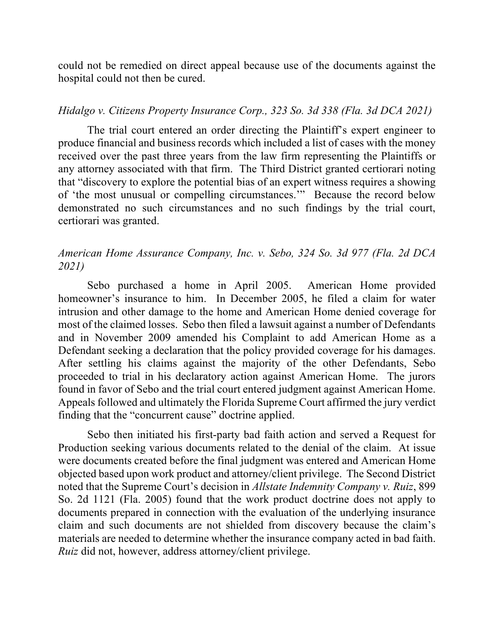could not be remedied on direct appeal because use of the documents against the hospital could not then be cured.

### *Hidalgo v. Citizens Property Insurance Corp., 323 So. 3d 338 (Fla. 3d DCA 2021)*

The trial court entered an order directing the Plaintiff's expert engineer to produce financial and business records which included a list of cases with the money received over the past three years from the law firm representing the Plaintiffs or any attorney associated with that firm. The Third District granted certiorari noting that "discovery to explore the potential bias of an expert witness requires a showing of 'the most unusual or compelling circumstances.'" Because the record below demonstrated no such circumstances and no such findings by the trial court, certiorari was granted.

## *American Home Assurance Company, Inc. v. Sebo, 324 So. 3d 977 (Fla. 2d DCA 2021)*

Sebo purchased a home in April 2005. American Home provided homeowner's insurance to him. In December 2005, he filed a claim for water intrusion and other damage to the home and American Home denied coverage for most of the claimed losses. Sebo then filed a lawsuit against a number of Defendants and in November 2009 amended his Complaint to add American Home as a Defendant seeking a declaration that the policy provided coverage for his damages. After settling his claims against the majority of the other Defendants, Sebo proceeded to trial in his declaratory action against American Home. The jurors found in favor of Sebo and the trial court entered judgment against American Home. Appeals followed and ultimately the Florida Supreme Court affirmed the jury verdict finding that the "concurrent cause" doctrine applied.

Sebo then initiated his first-party bad faith action and served a Request for Production seeking various documents related to the denial of the claim. At issue were documents created before the final judgment was entered and American Home objected based upon work product and attorney/client privilege. The Second District noted that the Supreme Court's decision in *Allstate Indemnity Company v. Ruiz*, 899 So. 2d 1121 (Fla. 2005) found that the work product doctrine does not apply to documents prepared in connection with the evaluation of the underlying insurance claim and such documents are not shielded from discovery because the claim's materials are needed to determine whether the insurance company acted in bad faith. *Ruiz* did not, however, address attorney/client privilege.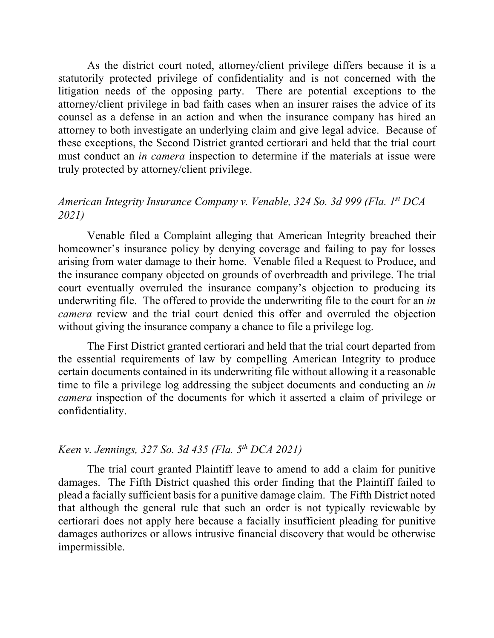As the district court noted, attorney/client privilege differs because it is a statutorily protected privilege of confidentiality and is not concerned with the litigation needs of the opposing party. There are potential exceptions to the attorney/client privilege in bad faith cases when an insurer raises the advice of its counsel as a defense in an action and when the insurance company has hired an attorney to both investigate an underlying claim and give legal advice. Because of these exceptions, the Second District granted certiorari and held that the trial court must conduct an *in camera* inspection to determine if the materials at issue were truly protected by attorney/client privilege.

## *American Integrity Insurance Company v. Venable, 324 So. 3d 999 (Fla. 1st DCA 2021)*

Venable filed a Complaint alleging that American Integrity breached their homeowner's insurance policy by denying coverage and failing to pay for losses arising from water damage to their home. Venable filed a Request to Produce, and the insurance company objected on grounds of overbreadth and privilege. The trial court eventually overruled the insurance company's objection to producing its underwriting file. The offered to provide the underwriting file to the court for an *in camera* review and the trial court denied this offer and overruled the objection without giving the insurance company a chance to file a privilege log.

The First District granted certiorari and held that the trial court departed from the essential requirements of law by compelling American Integrity to produce certain documents contained in its underwriting file without allowing it a reasonable time to file a privilege log addressing the subject documents and conducting an *in camera* inspection of the documents for which it asserted a claim of privilege or confidentiality.

# *Keen v. Jennings, 327 So. 3d 435 (Fla. 5th DCA 2021)*

The trial court granted Plaintiff leave to amend to add a claim for punitive damages. The Fifth District quashed this order finding that the Plaintiff failed to plead a facially sufficient basis for a punitive damage claim. The Fifth District noted that although the general rule that such an order is not typically reviewable by certiorari does not apply here because a facially insufficient pleading for punitive damages authorizes or allows intrusive financial discovery that would be otherwise impermissible.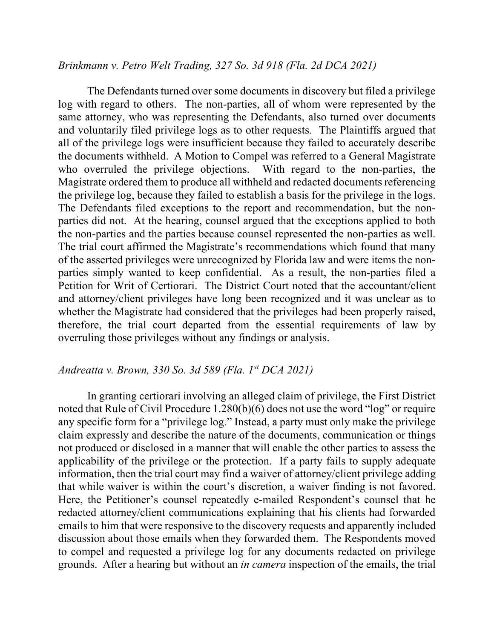### *Brinkmann v. Petro Welt Trading, 327 So. 3d 918 (Fla. 2d DCA 2021)*

The Defendants turned over some documents in discovery but filed a privilege log with regard to others. The non-parties, all of whom were represented by the same attorney, who was representing the Defendants, also turned over documents and voluntarily filed privilege logs as to other requests. The Plaintiffs argued that all of the privilege logs were insufficient because they failed to accurately describe the documents withheld. A Motion to Compel was referred to a General Magistrate who overruled the privilege objections. With regard to the non-parties, the Magistrate ordered them to produce all withheld and redacted documents referencing the privilege log, because they failed to establish a basis for the privilege in the logs. The Defendants filed exceptions to the report and recommendation, but the nonparties did not. At the hearing, counsel argued that the exceptions applied to both the non-parties and the parties because counsel represented the non-parties as well. The trial court affirmed the Magistrate's recommendations which found that many of the asserted privileges were unrecognized by Florida law and were items the nonparties simply wanted to keep confidential. As a result, the non-parties filed a Petition for Writ of Certiorari. The District Court noted that the accountant/client and attorney/client privileges have long been recognized and it was unclear as to whether the Magistrate had considered that the privileges had been properly raised, therefore, the trial court departed from the essential requirements of law by overruling those privileges without any findings or analysis.

## *Andreatta v. Brown, 330 So. 3d 589 (Fla. 1st DCA 2021)*

In granting certiorari involving an alleged claim of privilege, the First District noted that Rule of Civil Procedure 1.280(b)(6) does not use the word "log" or require any specific form for a "privilege log." Instead, a party must only make the privilege claim expressly and describe the nature of the documents, communication or things not produced or disclosed in a manner that will enable the other parties to assess the applicability of the privilege or the protection. If a party fails to supply adequate information, then the trial court may find a waiver of attorney/client privilege adding that while waiver is within the court's discretion, a waiver finding is not favored. Here, the Petitioner's counsel repeatedly e-mailed Respondent's counsel that he redacted attorney/client communications explaining that his clients had forwarded emails to him that were responsive to the discovery requests and apparently included discussion about those emails when they forwarded them. The Respondents moved to compel and requested a privilege log for any documents redacted on privilege grounds. After a hearing but without an *in camera* inspection of the emails, the trial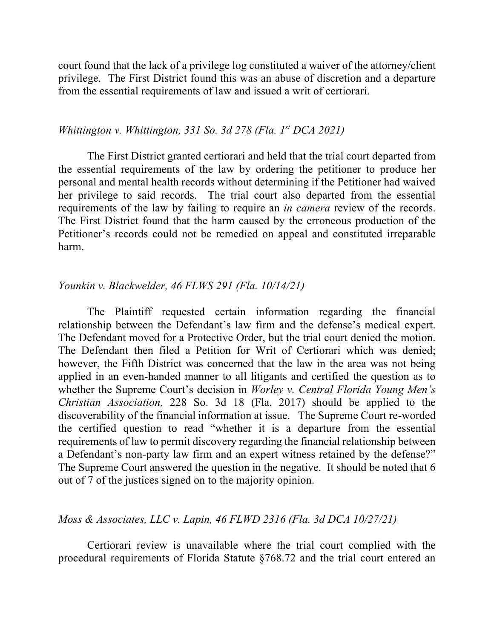court found that the lack of a privilege log constituted a waiver of the attorney/client privilege. The First District found this was an abuse of discretion and a departure from the essential requirements of law and issued a writ of certiorari.

### *Whittington v. Whittington, 331 So. 3d 278 (Fla. 1st DCA 2021)*

The First District granted certiorari and held that the trial court departed from the essential requirements of the law by ordering the petitioner to produce her personal and mental health records without determining if the Petitioner had waived her privilege to said records. The trial court also departed from the essential requirements of the law by failing to require an *in camera* review of the records. The First District found that the harm caused by the erroneous production of the Petitioner's records could not be remedied on appeal and constituted irreparable harm.

#### *Younkin v. Blackwelder, 46 FLWS 291 (Fla. 10/14/21)*

The Plaintiff requested certain information regarding the financial relationship between the Defendant's law firm and the defense's medical expert. The Defendant moved for a Protective Order, but the trial court denied the motion. The Defendant then filed a Petition for Writ of Certiorari which was denied; however, the Fifth District was concerned that the law in the area was not being applied in an even-handed manner to all litigants and certified the question as to whether the Supreme Court's decision in *Worley v. Central Florida Young Men's Christian Association,* 228 So. 3d 18 (Fla. 2017) should be applied to the discoverability of the financial information at issue. The Supreme Court re-worded the certified question to read "whether it is a departure from the essential requirements of law to permit discovery regarding the financial relationship between a Defendant's non-party law firm and an expert witness retained by the defense?" The Supreme Court answered the question in the negative. It should be noted that 6 out of 7 of the justices signed on to the majority opinion.

## *Moss & Associates, LLC v. Lapin, 46 FLWD 2316 (Fla. 3d DCA 10/27/21)*

Certiorari review is unavailable where the trial court complied with the procedural requirements of Florida Statute §768.72 and the trial court entered an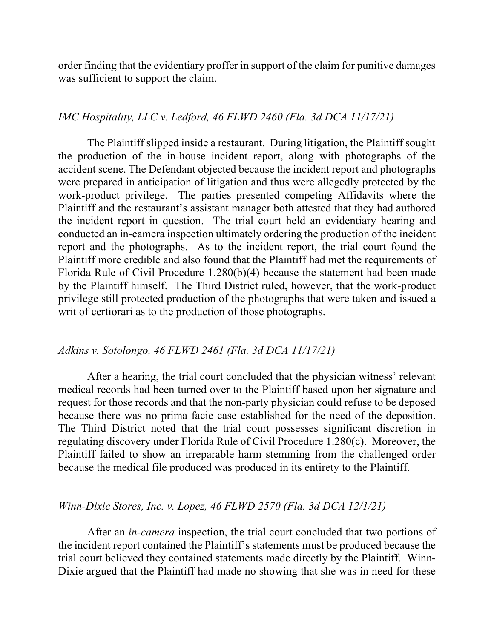order finding that the evidentiary proffer in support of the claim for punitive damages was sufficient to support the claim.

## *IMC Hospitality, LLC v. Ledford, 46 FLWD 2460 (Fla. 3d DCA 11/17/21)*

The Plaintiff slipped inside a restaurant. During litigation, the Plaintiff sought the production of the in-house incident report, along with photographs of the accident scene. The Defendant objected because the incident report and photographs were prepared in anticipation of litigation and thus were allegedly protected by the work-product privilege. The parties presented competing Affidavits where the Plaintiff and the restaurant's assistant manager both attested that they had authored the incident report in question. The trial court held an evidentiary hearing and conducted an in-camera inspection ultimately ordering the production of the incident report and the photographs. As to the incident report, the trial court found the Plaintiff more credible and also found that the Plaintiff had met the requirements of Florida Rule of Civil Procedure 1.280(b)(4) because the statement had been made by the Plaintiff himself. The Third District ruled, however, that the work-product privilege still protected production of the photographs that were taken and issued a writ of certiorari as to the production of those photographs.

#### *Adkins v. Sotolongo, 46 FLWD 2461 (Fla. 3d DCA 11/17/21)*

After a hearing, the trial court concluded that the physician witness' relevant medical records had been turned over to the Plaintiff based upon her signature and request for those records and that the non-party physician could refuse to be deposed because there was no prima facie case established for the need of the deposition. The Third District noted that the trial court possesses significant discretion in regulating discovery under Florida Rule of Civil Procedure 1.280(c). Moreover, the Plaintiff failed to show an irreparable harm stemming from the challenged order because the medical file produced was produced in its entirety to the Plaintiff.

## *Winn-Dixie Stores, Inc. v. Lopez, 46 FLWD 2570 (Fla. 3d DCA 12/1/21)*

After an *in-camera* inspection, the trial court concluded that two portions of the incident report contained the Plaintiff's statements must be produced because the trial court believed they contained statements made directly by the Plaintiff. Winn-Dixie argued that the Plaintiff had made no showing that she was in need for these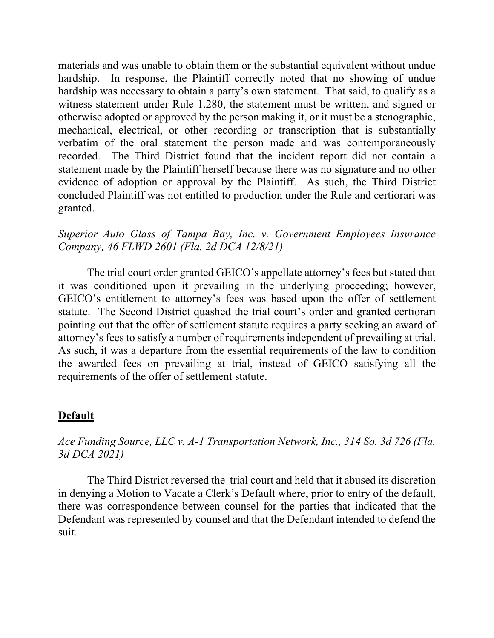materials and was unable to obtain them or the substantial equivalent without undue hardship. In response, the Plaintiff correctly noted that no showing of undue hardship was necessary to obtain a party's own statement. That said, to qualify as a witness statement under Rule 1.280, the statement must be written, and signed or otherwise adopted or approved by the person making it, or it must be a stenographic, mechanical, electrical, or other recording or transcription that is substantially verbatim of the oral statement the person made and was contemporaneously recorded. The Third District found that the incident report did not contain a statement made by the Plaintiff herself because there was no signature and no other evidence of adoption or approval by the Plaintiff. As such, the Third District concluded Plaintiff was not entitled to production under the Rule and certiorari was granted.

# *Superior Auto Glass of Tampa Bay, Inc. v. Government Employees Insurance Company, 46 FLWD 2601 (Fla. 2d DCA 12/8/21)*

The trial court order granted GEICO's appellate attorney's fees but stated that it was conditioned upon it prevailing in the underlying proceeding; however, GEICO's entitlement to attorney's fees was based upon the offer of settlement statute. The Second District quashed the trial court's order and granted certiorari pointing out that the offer of settlement statute requires a party seeking an award of attorney's fees to satisfy a number of requirements independent of prevailing at trial. As such, it was a departure from the essential requirements of the law to condition the awarded fees on prevailing at trial, instead of GEICO satisfying all the requirements of the offer of settlement statute.

# **Default**

## *Ace Funding Source, LLC v. A-1 Transportation Network, Inc., 314 So. 3d 726 (Fla. 3d DCA 2021)*

The Third District reversed the trial court and held that it abused its discretion in denying a Motion to Vacate a Clerk's Default where, prior to entry of the default, there was correspondence between counsel for the parties that indicated that the Defendant was represented by counsel and that the Defendant intended to defend the suit*.*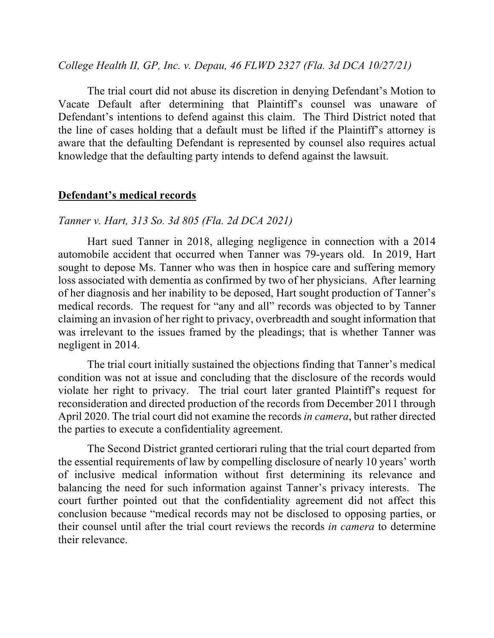### *College Health II, GP, Inc. v. Depau, 46 FLWD 2327 (Fla. 3d DCA 10/27/21)*

The trial court did not abuse its discretion in denying Defendant's Motion to Vacate Default after determining that Plaintiff's counsel was unaware of Defendant's intentions to defend against this claim. The Third District noted that the line of cases holding that a default must be lifted if the Plaintiff's attorney is aware that the defaulting Defendant is represented by counsel also requires actual knowledge that the defaulting party intends to defend against the lawsuit.

### **Defendant's medical records**

#### *Tanner v. Hart, 313 So. 3d 805 (Fla. 2d DCA 2021)*

Hart sued Tanner in 2018, alleging negligence in connection with a 2014 automobile accident that occurred when Tanner was 79-years old. In 2019, Hart sought to depose Ms. Tanner who was then in hospice care and suffering memory loss associated with dementia as confirmed by two of her physicians. After learning of her diagnosis and her inability to be deposed, Hart sought production of Tanner's medical records. The request for "any and all" records was objected to by Tanner claiming an invasion of her right to privacy, overbreadth and sought information that was irrelevant to the issues framed by the pleadings; that is whether Tanner was negligent in 2014.

The trial court initially sustained the objections finding that Tanner's medical condition was not at issue and concluding that the disclosure of the records would violate her right to privacy. The trial court later granted Plaintiff's request for reconsideration and directed production of the records from December 2011 through April 2020. The trial court did not examine the records *in camera*, but rather directed the parties to execute a confidentiality agreement.

The Second District granted certiorari ruling that the trial court departed from the essential requirements of law by compelling disclosure of nearly 10 years' worth of inclusive medical information without first determining its relevance and balancing the need for such information against Tanner's privacy interests. The court further pointed out that the confidentiality agreement did not affect this conclusion because "medical records may not be disclosed to opposing parties, or their counsel until after the trial court reviews the records *in camera* to determine their relevance.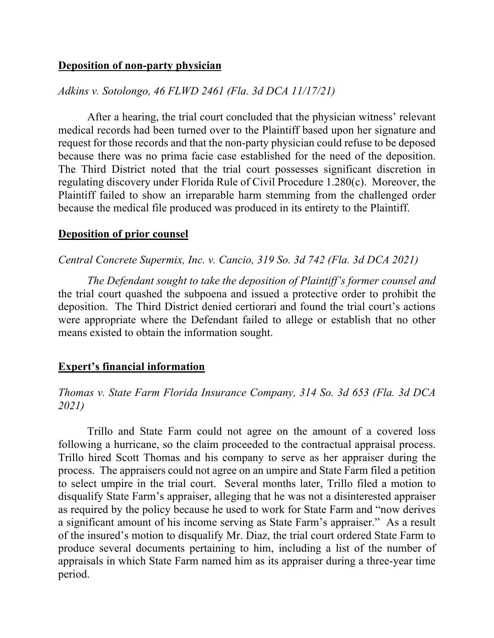## **Deposition of non-party physician**

## *Adkins v. Sotolongo, 46 FLWD 2461 (Fla. 3d DCA 11/17/21)*

After a hearing, the trial court concluded that the physician witness' relevant medical records had been turned over to the Plaintiff based upon her signature and request for those records and that the non-party physician could refuse to be deposed because there was no prima facie case established for the need of the deposition. The Third District noted that the trial court possesses significant discretion in regulating discovery under Florida Rule of Civil Procedure 1.280(c). Moreover, the Plaintiff failed to show an irreparable harm stemming from the challenged order because the medical file produced was produced in its entirety to the Plaintiff.

### **Deposition of prior counsel**

### *Central Concrete Supermix, Inc. v. Cancio, 319 So. 3d 742 (Fla. 3d DCA 2021)*

*The Defendant sought to take the deposition of Plaintiff's former counsel and*  the trial court quashed the subpoena and issued a protective order to prohibit the deposition. The Third District denied certiorari and found the trial court's actions were appropriate where the Defendant failed to allege or establish that no other means existed to obtain the information sought.

### **Expert's financial information**

## *Thomas v. State Farm Florida Insurance Company, 314 So. 3d 653 (Fla. 3d DCA 2021)*

Trillo and State Farm could not agree on the amount of a covered loss following a hurricane, so the claim proceeded to the contractual appraisal process. Trillo hired Scott Thomas and his company to serve as her appraiser during the process. The appraisers could not agree on an umpire and State Farm filed a petition to select umpire in the trial court. Several months later, Trillo filed a motion to disqualify State Farm's appraiser, alleging that he was not a disinterested appraiser as required by the policy because he used to work for State Farm and "now derives a significant amount of his income serving as State Farm's appraiser." As a result of the insured's motion to disqualify Mr. Diaz, the trial court ordered State Farm to produce several documents pertaining to him, including a list of the number of appraisals in which State Farm named him as its appraiser during a three-year time period.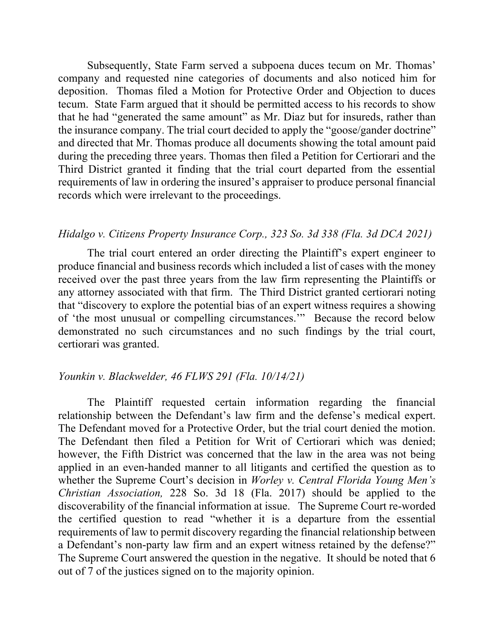Subsequently, State Farm served a subpoena duces tecum on Mr. Thomas' company and requested nine categories of documents and also noticed him for deposition. Thomas filed a Motion for Protective Order and Objection to duces tecum. State Farm argued that it should be permitted access to his records to show that he had "generated the same amount" as Mr. Diaz but for insureds, rather than the insurance company. The trial court decided to apply the "goose/gander doctrine" and directed that Mr. Thomas produce all documents showing the total amount paid during the preceding three years. Thomas then filed a Petition for Certiorari and the Third District granted it finding that the trial court departed from the essential requirements of law in ordering the insured's appraiser to produce personal financial records which were irrelevant to the proceedings.

#### *Hidalgo v. Citizens Property Insurance Corp., 323 So. 3d 338 (Fla. 3d DCA 2021)*

The trial court entered an order directing the Plaintiff's expert engineer to produce financial and business records which included a list of cases with the money received over the past three years from the law firm representing the Plaintiffs or any attorney associated with that firm. The Third District granted certiorari noting that "discovery to explore the potential bias of an expert witness requires a showing of 'the most unusual or compelling circumstances.'" Because the record below demonstrated no such circumstances and no such findings by the trial court, certiorari was granted.

#### *Younkin v. Blackwelder, 46 FLWS 291 (Fla. 10/14/21)*

The Plaintiff requested certain information regarding the financial relationship between the Defendant's law firm and the defense's medical expert. The Defendant moved for a Protective Order, but the trial court denied the motion. The Defendant then filed a Petition for Writ of Certiorari which was denied; however, the Fifth District was concerned that the law in the area was not being applied in an even-handed manner to all litigants and certified the question as to whether the Supreme Court's decision in *Worley v. Central Florida Young Men's Christian Association,* 228 So. 3d 18 (Fla. 2017) should be applied to the discoverability of the financial information at issue. The Supreme Court re-worded the certified question to read "whether it is a departure from the essential requirements of law to permit discovery regarding the financial relationship between a Defendant's non-party law firm and an expert witness retained by the defense?" The Supreme Court answered the question in the negative. It should be noted that 6 out of 7 of the justices signed on to the majority opinion.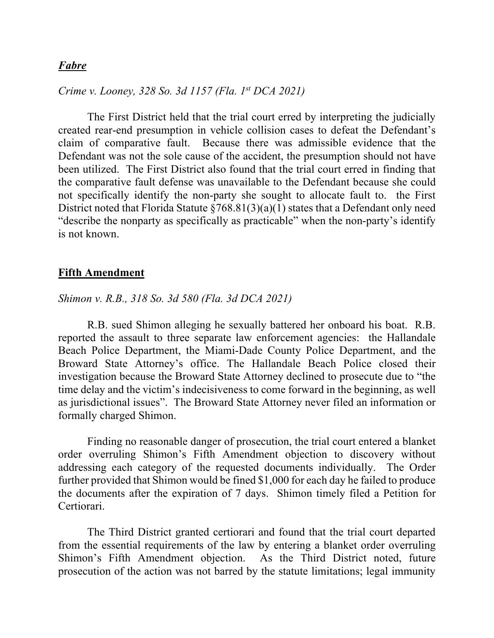## *Fabre*

*Crime v. Looney, 328 So. 3d 1157 (Fla. 1st DCA 2021)*

The First District held that the trial court erred by interpreting the judicially created rear-end presumption in vehicle collision cases to defeat the Defendant's claim of comparative fault. Because there was admissible evidence that the Defendant was not the sole cause of the accident, the presumption should not have been utilized. The First District also found that the trial court erred in finding that the comparative fault defense was unavailable to the Defendant because she could not specifically identify the non-party she sought to allocate fault to. the First District noted that Florida Statute  $\S768.81(3)(a)(1)$  states that a Defendant only need "describe the nonparty as specifically as practicable" when the non-party's identify is not known.

### **Fifth Amendment**

#### *Shimon v. R.B., 318 So. 3d 580 (Fla. 3d DCA 2021)*

R.B. sued Shimon alleging he sexually battered her onboard his boat. R.B. reported the assault to three separate law enforcement agencies: the Hallandale Beach Police Department, the Miami-Dade County Police Department, and the Broward State Attorney's office. The Hallandale Beach Police closed their investigation because the Broward State Attorney declined to prosecute due to "the time delay and the victim's indecisiveness to come forward in the beginning, as well as jurisdictional issues". The Broward State Attorney never filed an information or formally charged Shimon.

Finding no reasonable danger of prosecution, the trial court entered a blanket order overruling Shimon's Fifth Amendment objection to discovery without addressing each category of the requested documents individually. The Order further provided that Shimon would be fined \$1,000 for each day he failed to produce the documents after the expiration of 7 days. Shimon timely filed a Petition for Certiorari.

The Third District granted certiorari and found that the trial court departed from the essential requirements of the law by entering a blanket order overruling Shimon's Fifth Amendment objection. As the Third District noted, future prosecution of the action was not barred by the statute limitations; legal immunity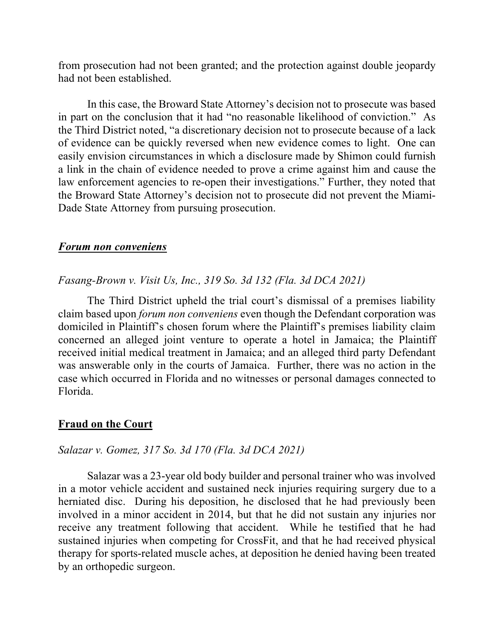from prosecution had not been granted; and the protection against double jeopardy had not been established.

In this case, the Broward State Attorney's decision not to prosecute was based in part on the conclusion that it had "no reasonable likelihood of conviction." As the Third District noted, "a discretionary decision not to prosecute because of a lack of evidence can be quickly reversed when new evidence comes to light. One can easily envision circumstances in which a disclosure made by Shimon could furnish a link in the chain of evidence needed to prove a crime against him and cause the law enforcement agencies to re-open their investigations." Further, they noted that the Broward State Attorney's decision not to prosecute did not prevent the Miami-Dade State Attorney from pursuing prosecution.

#### *Forum non conveniens*

## *Fasang-Brown v. Visit Us, Inc., 319 So. 3d 132 (Fla. 3d DCA 2021)*

The Third District upheld the trial court's dismissal of a premises liability claim based upon *forum non conveniens* even though the Defendant corporation was domiciled in Plaintiff's chosen forum where the Plaintiff's premises liability claim concerned an alleged joint venture to operate a hotel in Jamaica; the Plaintiff received initial medical treatment in Jamaica; and an alleged third party Defendant was answerable only in the courts of Jamaica. Further, there was no action in the case which occurred in Florida and no witnesses or personal damages connected to Florida.

#### **Fraud on the Court**

## *Salazar v. Gomez, 317 So. 3d 170 (Fla. 3d DCA 2021)*

Salazar was a 23-year old body builder and personal trainer who was involved in a motor vehicle accident and sustained neck injuries requiring surgery due to a herniated disc. During his deposition, he disclosed that he had previously been involved in a minor accident in 2014, but that he did not sustain any injuries nor receive any treatment following that accident. While he testified that he had sustained injuries when competing for CrossFit, and that he had received physical therapy for sports-related muscle aches, at deposition he denied having been treated by an orthopedic surgeon.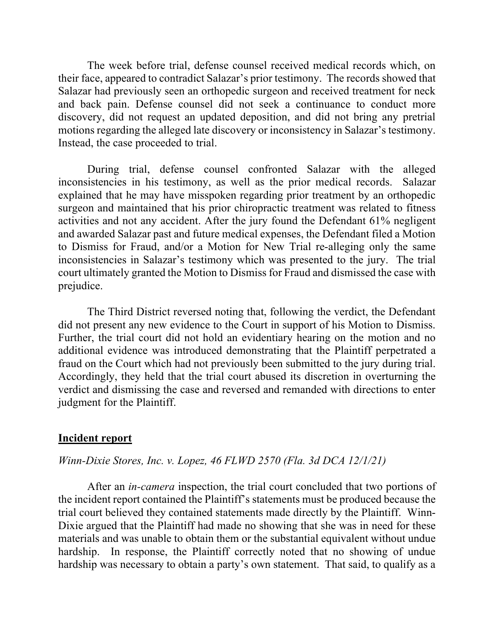The week before trial, defense counsel received medical records which, on their face, appeared to contradict Salazar's prior testimony. The records showed that Salazar had previously seen an orthopedic surgeon and received treatment for neck and back pain. Defense counsel did not seek a continuance to conduct more discovery, did not request an updated deposition, and did not bring any pretrial motions regarding the alleged late discovery or inconsistency in Salazar's testimony. Instead, the case proceeded to trial.

During trial, defense counsel confronted Salazar with the alleged inconsistencies in his testimony, as well as the prior medical records. Salazar explained that he may have misspoken regarding prior treatment by an orthopedic surgeon and maintained that his prior chiropractic treatment was related to fitness activities and not any accident. After the jury found the Defendant 61% negligent and awarded Salazar past and future medical expenses, the Defendant filed a Motion to Dismiss for Fraud, and/or a Motion for New Trial re-alleging only the same inconsistencies in Salazar's testimony which was presented to the jury. The trial court ultimately granted the Motion to Dismiss for Fraud and dismissed the case with prejudice.

The Third District reversed noting that, following the verdict, the Defendant did not present any new evidence to the Court in support of his Motion to Dismiss. Further, the trial court did not hold an evidentiary hearing on the motion and no additional evidence was introduced demonstrating that the Plaintiff perpetrated a fraud on the Court which had not previously been submitted to the jury during trial. Accordingly, they held that the trial court abused its discretion in overturning the verdict and dismissing the case and reversed and remanded with directions to enter judgment for the Plaintiff.

### **Incident report**

#### *Winn-Dixie Stores, Inc. v. Lopez, 46 FLWD 2570 (Fla. 3d DCA 12/1/21)*

After an *in-camera* inspection, the trial court concluded that two portions of the incident report contained the Plaintiff's statements must be produced because the trial court believed they contained statements made directly by the Plaintiff. Winn-Dixie argued that the Plaintiff had made no showing that she was in need for these materials and was unable to obtain them or the substantial equivalent without undue hardship. In response, the Plaintiff correctly noted that no showing of undue hardship was necessary to obtain a party's own statement. That said, to qualify as a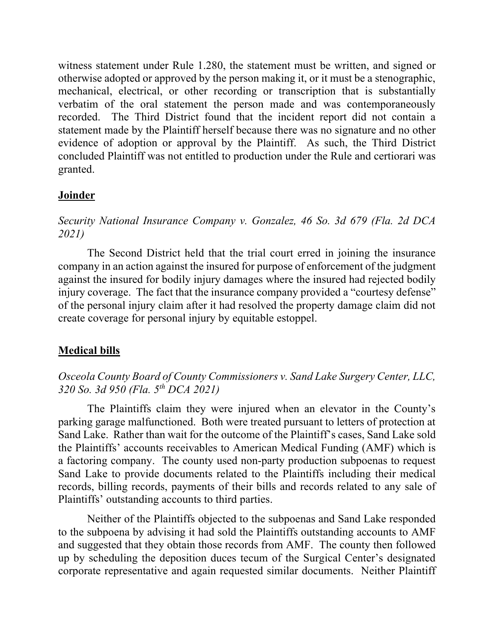witness statement under Rule 1.280, the statement must be written, and signed or otherwise adopted or approved by the person making it, or it must be a stenographic, mechanical, electrical, or other recording or transcription that is substantially verbatim of the oral statement the person made and was contemporaneously recorded. The Third District found that the incident report did not contain a statement made by the Plaintiff herself because there was no signature and no other evidence of adoption or approval by the Plaintiff. As such, the Third District concluded Plaintiff was not entitled to production under the Rule and certiorari was granted.

### **Joinder**

*Security National Insurance Company v. Gonzalez, 46 So. 3d 679 (Fla. 2d DCA 2021)*

The Second District held that the trial court erred in joining the insurance company in an action against the insured for purpose of enforcement of the judgment against the insured for bodily injury damages where the insured had rejected bodily injury coverage. The fact that the insurance company provided a "courtesy defense" of the personal injury claim after it had resolved the property damage claim did not create coverage for personal injury by equitable estoppel.

## **Medical bills**

# *Osceola County Board of County Commissioners v. Sand Lake Surgery Center, LLC, 320 So. 3d 950 (Fla. 5th DCA 2021)*

The Plaintiffs claim they were injured when an elevator in the County's parking garage malfunctioned. Both were treated pursuant to letters of protection at Sand Lake. Rather than wait for the outcome of the Plaintiff's cases, Sand Lake sold the Plaintiffs' accounts receivables to American Medical Funding (AMF) which is a factoring company. The county used non-party production subpoenas to request Sand Lake to provide documents related to the Plaintiffs including their medical records, billing records, payments of their bills and records related to any sale of Plaintiffs' outstanding accounts to third parties.

Neither of the Plaintiffs objected to the subpoenas and Sand Lake responded to the subpoena by advising it had sold the Plaintiffs outstanding accounts to AMF and suggested that they obtain those records from AMF. The county then followed up by scheduling the deposition duces tecum of the Surgical Center's designated corporate representative and again requested similar documents. Neither Plaintiff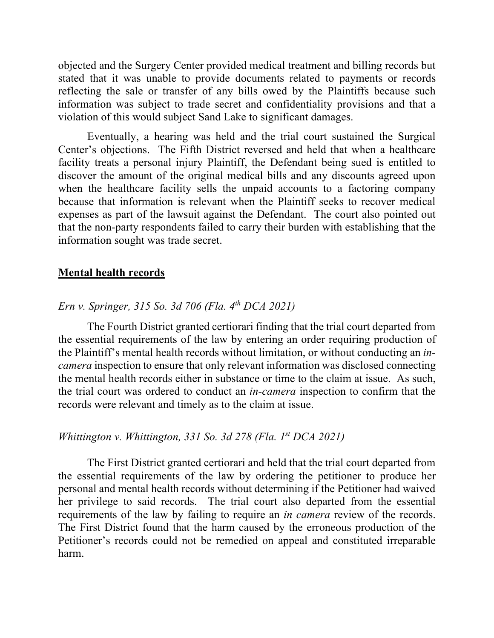objected and the Surgery Center provided medical treatment and billing records but stated that it was unable to provide documents related to payments or records reflecting the sale or transfer of any bills owed by the Plaintiffs because such information was subject to trade secret and confidentiality provisions and that a violation of this would subject Sand Lake to significant damages.

Eventually, a hearing was held and the trial court sustained the Surgical Center's objections. The Fifth District reversed and held that when a healthcare facility treats a personal injury Plaintiff, the Defendant being sued is entitled to discover the amount of the original medical bills and any discounts agreed upon when the healthcare facility sells the unpaid accounts to a factoring company because that information is relevant when the Plaintiff seeks to recover medical expenses as part of the lawsuit against the Defendant. The court also pointed out that the non-party respondents failed to carry their burden with establishing that the information sought was trade secret.

### **Mental health records**

## *Ern v. Springer, 315 So. 3d 706 (Fla. 4th DCA 2021)*

The Fourth District granted certiorari finding that the trial court departed from the essential requirements of the law by entering an order requiring production of the Plaintiff's mental health records without limitation, or without conducting an *incamera* inspection to ensure that only relevant information was disclosed connecting the mental health records either in substance or time to the claim at issue. As such, the trial court was ordered to conduct an *in-camera* inspection to confirm that the records were relevant and timely as to the claim at issue.

## *Whittington v. Whittington, 331 So. 3d 278 (Fla. 1st DCA 2021)*

The First District granted certiorari and held that the trial court departed from the essential requirements of the law by ordering the petitioner to produce her personal and mental health records without determining if the Petitioner had waived her privilege to said records. The trial court also departed from the essential requirements of the law by failing to require an *in camera* review of the records. The First District found that the harm caused by the erroneous production of the Petitioner's records could not be remedied on appeal and constituted irreparable harm.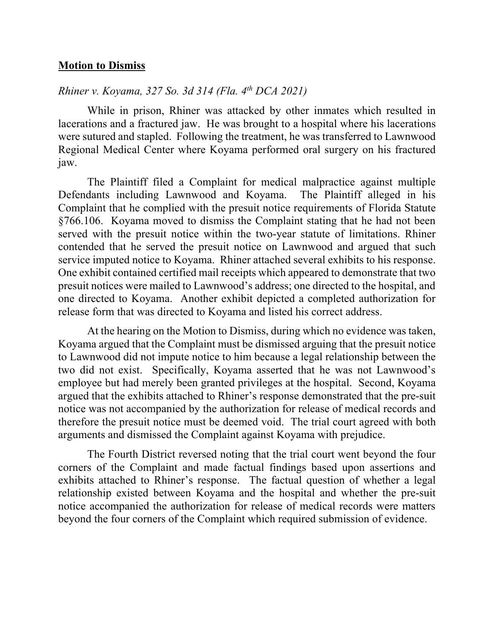## **Motion to Dismiss**

## *Rhiner v. Koyama, 327 So. 3d 314 (Fla. 4th DCA 2021)*

While in prison, Rhiner was attacked by other inmates which resulted in lacerations and a fractured jaw. He was brought to a hospital where his lacerations were sutured and stapled. Following the treatment, he was transferred to Lawnwood Regional Medical Center where Koyama performed oral surgery on his fractured jaw.

The Plaintiff filed a Complaint for medical malpractice against multiple Defendants including Lawnwood and Koyama. The Plaintiff alleged in his Complaint that he complied with the presuit notice requirements of Florida Statute §766.106. Koyama moved to dismiss the Complaint stating that he had not been served with the presuit notice within the two-year statute of limitations. Rhiner contended that he served the presuit notice on Lawnwood and argued that such service imputed notice to Koyama. Rhiner attached several exhibits to his response. One exhibit contained certified mail receipts which appeared to demonstrate that two presuit notices were mailed to Lawnwood's address; one directed to the hospital, and one directed to Koyama. Another exhibit depicted a completed authorization for release form that was directed to Koyama and listed his correct address.

At the hearing on the Motion to Dismiss, during which no evidence was taken, Koyama argued that the Complaint must be dismissed arguing that the presuit notice to Lawnwood did not impute notice to him because a legal relationship between the two did not exist. Specifically, Koyama asserted that he was not Lawnwood's employee but had merely been granted privileges at the hospital. Second, Koyama argued that the exhibits attached to Rhiner's response demonstrated that the pre-suit notice was not accompanied by the authorization for release of medical records and therefore the presuit notice must be deemed void. The trial court agreed with both arguments and dismissed the Complaint against Koyama with prejudice.

The Fourth District reversed noting that the trial court went beyond the four corners of the Complaint and made factual findings based upon assertions and exhibits attached to Rhiner's response. The factual question of whether a legal relationship existed between Koyama and the hospital and whether the pre-suit notice accompanied the authorization for release of medical records were matters beyond the four corners of the Complaint which required submission of evidence.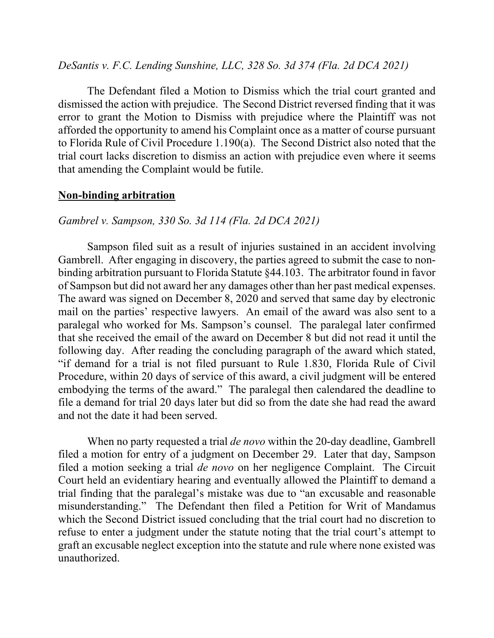### *DeSantis v. F.C. Lending Sunshine, LLC, 328 So. 3d 374 (Fla. 2d DCA 2021)*

The Defendant filed a Motion to Dismiss which the trial court granted and dismissed the action with prejudice. The Second District reversed finding that it was error to grant the Motion to Dismiss with prejudice where the Plaintiff was not afforded the opportunity to amend his Complaint once as a matter of course pursuant to Florida Rule of Civil Procedure 1.190(a). The Second District also noted that the trial court lacks discretion to dismiss an action with prejudice even where it seems that amending the Complaint would be futile.

#### **Non-binding arbitration**

#### *Gambrel v. Sampson, 330 So. 3d 114 (Fla. 2d DCA 2021)*

Sampson filed suit as a result of injuries sustained in an accident involving Gambrell. After engaging in discovery, the parties agreed to submit the case to nonbinding arbitration pursuant to Florida Statute §44.103. The arbitrator found in favor of Sampson but did not award her any damages other than her past medical expenses. The award was signed on December 8, 2020 and served that same day by electronic mail on the parties' respective lawyers. An email of the award was also sent to a paralegal who worked for Ms. Sampson's counsel. The paralegal later confirmed that she received the email of the award on December 8 but did not read it until the following day. After reading the concluding paragraph of the award which stated, "if demand for a trial is not filed pursuant to Rule 1.830, Florida Rule of Civil Procedure, within 20 days of service of this award, a civil judgment will be entered embodying the terms of the award." The paralegal then calendared the deadline to file a demand for trial 20 days later but did so from the date she had read the award and not the date it had been served.

When no party requested a trial *de novo* within the 20-day deadline, Gambrell filed a motion for entry of a judgment on December 29. Later that day, Sampson filed a motion seeking a trial *de novo* on her negligence Complaint. The Circuit Court held an evidentiary hearing and eventually allowed the Plaintiff to demand a trial finding that the paralegal's mistake was due to "an excusable and reasonable misunderstanding." The Defendant then filed a Petition for Writ of Mandamus which the Second District issued concluding that the trial court had no discretion to refuse to enter a judgment under the statute noting that the trial court's attempt to graft an excusable neglect exception into the statute and rule where none existed was unauthorized.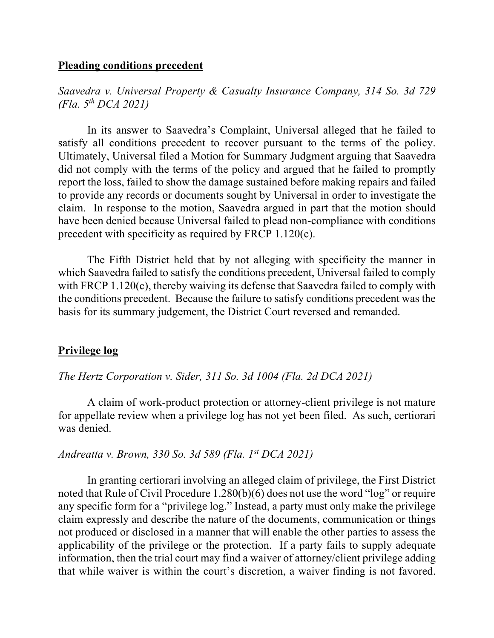#### **Pleading conditions precedent**

*Saavedra v. Universal Property & Casualty Insurance Company, 314 So. 3d 729 (Fla. 5th DCA 2021)*

In its answer to Saavedra's Complaint, Universal alleged that he failed to satisfy all conditions precedent to recover pursuant to the terms of the policy. Ultimately, Universal filed a Motion for Summary Judgment arguing that Saavedra did not comply with the terms of the policy and argued that he failed to promptly report the loss, failed to show the damage sustained before making repairs and failed to provide any records or documents sought by Universal in order to investigate the claim. In response to the motion, Saavedra argued in part that the motion should have been denied because Universal failed to plead non-compliance with conditions precedent with specificity as required by FRCP 1.120(c).

The Fifth District held that by not alleging with specificity the manner in which Saavedra failed to satisfy the conditions precedent, Universal failed to comply with FRCP 1.120(c), thereby waiving its defense that Saavedra failed to comply with the conditions precedent. Because the failure to satisfy conditions precedent was the basis for its summary judgement, the District Court reversed and remanded.

### **Privilege log**

#### *The Hertz Corporation v. Sider, 311 So. 3d 1004 (Fla. 2d DCA 2021)*

A claim of work-product protection or attorney-client privilege is not mature for appellate review when a privilege log has not yet been filed. As such, certiorari was denied.

## *Andreatta v. Brown, 330 So. 3d 589 (Fla. 1st DCA 2021)*

In granting certiorari involving an alleged claim of privilege, the First District noted that Rule of Civil Procedure 1.280(b)(6) does not use the word "log" or require any specific form for a "privilege log." Instead, a party must only make the privilege claim expressly and describe the nature of the documents, communication or things not produced or disclosed in a manner that will enable the other parties to assess the applicability of the privilege or the protection. If a party fails to supply adequate information, then the trial court may find a waiver of attorney/client privilege adding that while waiver is within the court's discretion, a waiver finding is not favored.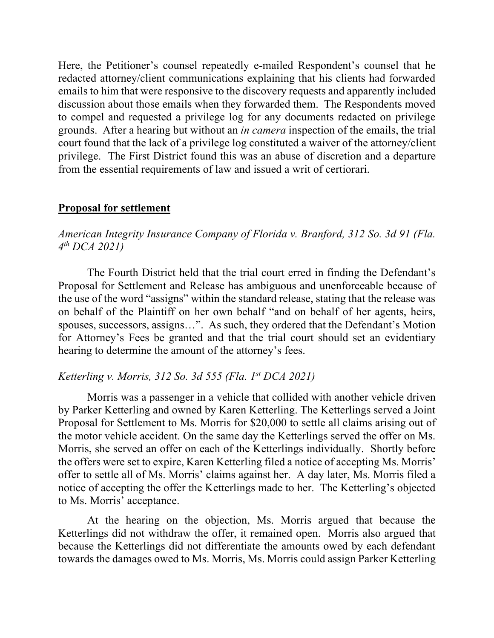Here, the Petitioner's counsel repeatedly e-mailed Respondent's counsel that he redacted attorney/client communications explaining that his clients had forwarded emails to him that were responsive to the discovery requests and apparently included discussion about those emails when they forwarded them. The Respondents moved to compel and requested a privilege log for any documents redacted on privilege grounds. After a hearing but without an *in camera* inspection of the emails, the trial court found that the lack of a privilege log constituted a waiver of the attorney/client privilege. The First District found this was an abuse of discretion and a departure from the essential requirements of law and issued a writ of certiorari.

## **Proposal for settlement**

## *American Integrity Insurance Company of Florida v. Branford, 312 So. 3d 91 (Fla. 4th DCA 2021)*

The Fourth District held that the trial court erred in finding the Defendant's Proposal for Settlement and Release has ambiguous and unenforceable because of the use of the word "assigns" within the standard release, stating that the release was on behalf of the Plaintiff on her own behalf "and on behalf of her agents, heirs, spouses, successors, assigns…". As such, they ordered that the Defendant's Motion for Attorney's Fees be granted and that the trial court should set an evidentiary hearing to determine the amount of the attorney's fees.

### *Ketterling v. Morris, 312 So. 3d 555 (Fla. 1st DCA 2021)*

Morris was a passenger in a vehicle that collided with another vehicle driven by Parker Ketterling and owned by Karen Ketterling. The Ketterlings served a Joint Proposal for Settlement to Ms. Morris for \$20,000 to settle all claims arising out of the motor vehicle accident. On the same day the Ketterlings served the offer on Ms. Morris, she served an offer on each of the Ketterlings individually. Shortly before the offers were set to expire, Karen Ketterling filed a notice of accepting Ms. Morris' offer to settle all of Ms. Morris' claims against her. A day later, Ms. Morris filed a notice of accepting the offer the Ketterlings made to her. The Ketterling's objected to Ms. Morris' acceptance.

At the hearing on the objection, Ms. Morris argued that because the Ketterlings did not withdraw the offer, it remained open. Morris also argued that because the Ketterlings did not differentiate the amounts owed by each defendant towards the damages owed to Ms. Morris, Ms. Morris could assign Parker Ketterling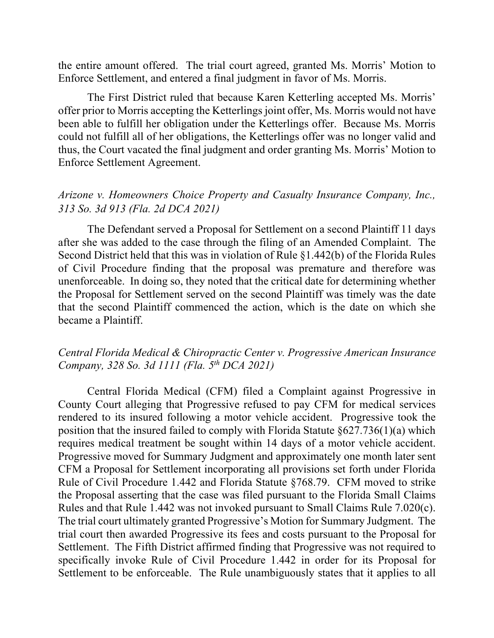the entire amount offered. The trial court agreed, granted Ms. Morris' Motion to Enforce Settlement, and entered a final judgment in favor of Ms. Morris.

The First District ruled that because Karen Ketterling accepted Ms. Morris' offer prior to Morris accepting the Ketterlings joint offer, Ms. Morris would not have been able to fulfill her obligation under the Ketterlings offer. Because Ms. Morris could not fulfill all of her obligations, the Ketterlings offer was no longer valid and thus, the Court vacated the final judgment and order granting Ms. Morris' Motion to Enforce Settlement Agreement.

## *Arizone v. Homeowners Choice Property and Casualty Insurance Company, Inc., 313 So. 3d 913 (Fla. 2d DCA 2021)*

The Defendant served a Proposal for Settlement on a second Plaintiff 11 days after she was added to the case through the filing of an Amended Complaint. The Second District held that this was in violation of Rule §1.442(b) of the Florida Rules of Civil Procedure finding that the proposal was premature and therefore was unenforceable. In doing so, they noted that the critical date for determining whether the Proposal for Settlement served on the second Plaintiff was timely was the date that the second Plaintiff commenced the action, which is the date on which she became a Plaintiff.

## *Central Florida Medical & Chiropractic Center v. Progressive American Insurance Company, 328 So. 3d 1111 (Fla. 5th DCA 2021)*

Central Florida Medical (CFM) filed a Complaint against Progressive in County Court alleging that Progressive refused to pay CFM for medical services rendered to its insured following a motor vehicle accident. Progressive took the position that the insured failed to comply with Florida Statute §627.736(1)(a) which requires medical treatment be sought within 14 days of a motor vehicle accident. Progressive moved for Summary Judgment and approximately one month later sent CFM a Proposal for Settlement incorporating all provisions set forth under Florida Rule of Civil Procedure 1.442 and Florida Statute §768.79. CFM moved to strike the Proposal asserting that the case was filed pursuant to the Florida Small Claims Rules and that Rule 1.442 was not invoked pursuant to Small Claims Rule 7.020(c). The trial court ultimately granted Progressive's Motion for Summary Judgment. The trial court then awarded Progressive its fees and costs pursuant to the Proposal for Settlement. The Fifth District affirmed finding that Progressive was not required to specifically invoke Rule of Civil Procedure 1.442 in order for its Proposal for Settlement to be enforceable. The Rule unambiguously states that it applies to all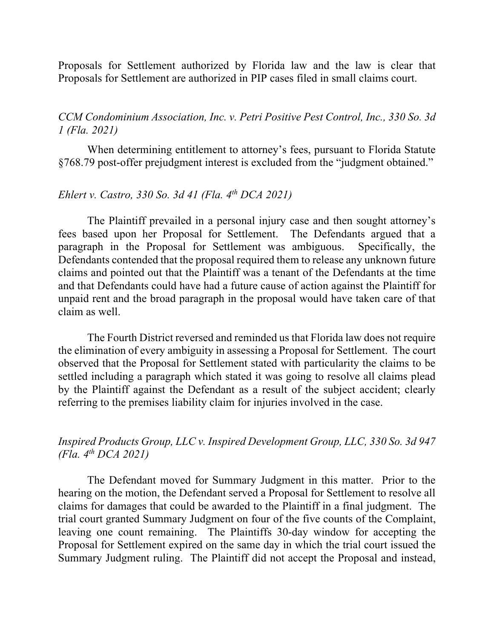Proposals for Settlement authorized by Florida law and the law is clear that Proposals for Settlement are authorized in PIP cases filed in small claims court.

*CCM Condominium Association, Inc. v. Petri Positive Pest Control, Inc., 330 So. 3d 1 (Fla. 2021)*

When determining entitlement to attorney's fees, pursuant to Florida Statute §768.79 post-offer prejudgment interest is excluded from the "judgment obtained."

## *Ehlert v. Castro, 330 So. 3d 41 (Fla. 4th DCA 2021)*

The Plaintiff prevailed in a personal injury case and then sought attorney's fees based upon her Proposal for Settlement. The Defendants argued that a paragraph in the Proposal for Settlement was ambiguous. Specifically, the Defendants contended that the proposal required them to release any unknown future claims and pointed out that the Plaintiff was a tenant of the Defendants at the time and that Defendants could have had a future cause of action against the Plaintiff for unpaid rent and the broad paragraph in the proposal would have taken care of that claim as well.

The Fourth District reversed and reminded us that Florida law does not require the elimination of every ambiguity in assessing a Proposal for Settlement. The court observed that the Proposal for Settlement stated with particularity the claims to be settled including a paragraph which stated it was going to resolve all claims plead by the Plaintiff against the Defendant as a result of the subject accident; clearly referring to the premises liability claim for injuries involved in the case.

## *Inspired Products Group, LLC v. Inspired Development Group, LLC, 330 So. 3d 947 (Fla. 4th DCA 2021)*

The Defendant moved for Summary Judgment in this matter. Prior to the hearing on the motion, the Defendant served a Proposal for Settlement to resolve all claims for damages that could be awarded to the Plaintiff in a final judgment. The trial court granted Summary Judgment on four of the five counts of the Complaint, leaving one count remaining. The Plaintiffs 30-day window for accepting the Proposal for Settlement expired on the same day in which the trial court issued the Summary Judgment ruling. The Plaintiff did not accept the Proposal and instead,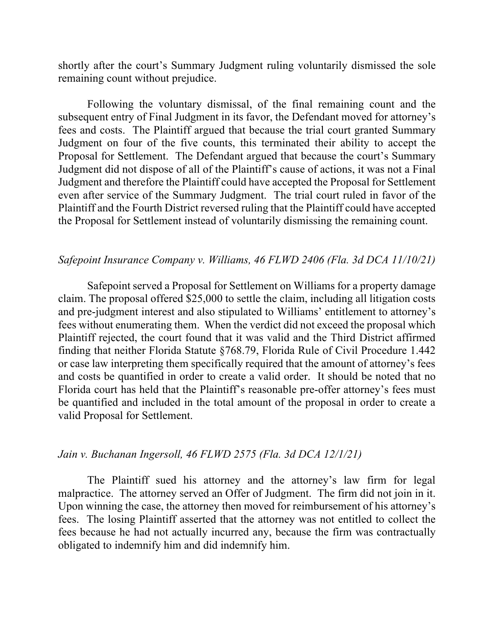shortly after the court's Summary Judgment ruling voluntarily dismissed the sole remaining count without prejudice.

Following the voluntary dismissal, of the final remaining count and the subsequent entry of Final Judgment in its favor, the Defendant moved for attorney's fees and costs. The Plaintiff argued that because the trial court granted Summary Judgment on four of the five counts, this terminated their ability to accept the Proposal for Settlement. The Defendant argued that because the court's Summary Judgment did not dispose of all of the Plaintiff's cause of actions, it was not a Final Judgment and therefore the Plaintiff could have accepted the Proposal for Settlement even after service of the Summary Judgment. The trial court ruled in favor of the Plaintiff and the Fourth District reversed ruling that the Plaintiff could have accepted the Proposal for Settlement instead of voluntarily dismissing the remaining count.

#### *Safepoint Insurance Company v. Williams, 46 FLWD 2406 (Fla. 3d DCA 11/10/21)*

Safepoint served a Proposal for Settlement on Williams for a property damage claim. The proposal offered \$25,000 to settle the claim, including all litigation costs and pre-judgment interest and also stipulated to Williams' entitlement to attorney's fees without enumerating them. When the verdict did not exceed the proposal which Plaintiff rejected, the court found that it was valid and the Third District affirmed finding that neither Florida Statute §768.79, Florida Rule of Civil Procedure 1.442 or case law interpreting them specifically required that the amount of attorney's fees and costs be quantified in order to create a valid order. It should be noted that no Florida court has held that the Plaintiff's reasonable pre-offer attorney's fees must be quantified and included in the total amount of the proposal in order to create a valid Proposal for Settlement.

### *Jain v. Buchanan Ingersoll, 46 FLWD 2575 (Fla. 3d DCA 12/1/21)*

The Plaintiff sued his attorney and the attorney's law firm for legal malpractice. The attorney served an Offer of Judgment. The firm did not join in it. Upon winning the case, the attorney then moved for reimbursement of his attorney's fees. The losing Plaintiff asserted that the attorney was not entitled to collect the fees because he had not actually incurred any, because the firm was contractually obligated to indemnify him and did indemnify him.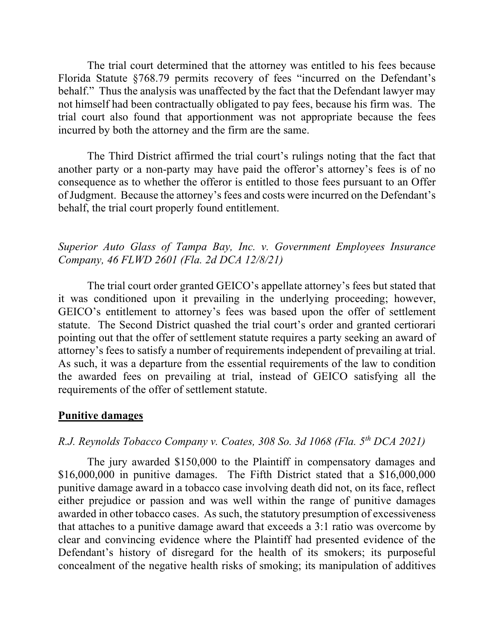The trial court determined that the attorney was entitled to his fees because Florida Statute §768.79 permits recovery of fees "incurred on the Defendant's behalf." Thus the analysis was unaffected by the fact that the Defendant lawyer may not himself had been contractually obligated to pay fees, because his firm was. The trial court also found that apportionment was not appropriate because the fees incurred by both the attorney and the firm are the same.

The Third District affirmed the trial court's rulings noting that the fact that another party or a non-party may have paid the offeror's attorney's fees is of no consequence as to whether the offeror is entitled to those fees pursuant to an Offer of Judgment. Because the attorney's fees and costs were incurred on the Defendant's behalf, the trial court properly found entitlement.

## *Superior Auto Glass of Tampa Bay, Inc. v. Government Employees Insurance Company, 46 FLWD 2601 (Fla. 2d DCA 12/8/21)*

The trial court order granted GEICO's appellate attorney's fees but stated that it was conditioned upon it prevailing in the underlying proceeding; however, GEICO's entitlement to attorney's fees was based upon the offer of settlement statute. The Second District quashed the trial court's order and granted certiorari pointing out that the offer of settlement statute requires a party seeking an award of attorney's fees to satisfy a number of requirements independent of prevailing at trial. As such, it was a departure from the essential requirements of the law to condition the awarded fees on prevailing at trial, instead of GEICO satisfying all the requirements of the offer of settlement statute.

### **Punitive damages**

## *R.J. Reynolds Tobacco Company v. Coates, 308 So. 3d 1068 (Fla. 5th DCA 2021)*

The jury awarded \$150,000 to the Plaintiff in compensatory damages and \$16,000,000 in punitive damages. The Fifth District stated that a \$16,000,000 punitive damage award in a tobacco case involving death did not, on its face, reflect either prejudice or passion and was well within the range of punitive damages awarded in other tobacco cases. As such, the statutory presumption of excessiveness that attaches to a punitive damage award that exceeds a 3:1 ratio was overcome by clear and convincing evidence where the Plaintiff had presented evidence of the Defendant's history of disregard for the health of its smokers; its purposeful concealment of the negative health risks of smoking; its manipulation of additives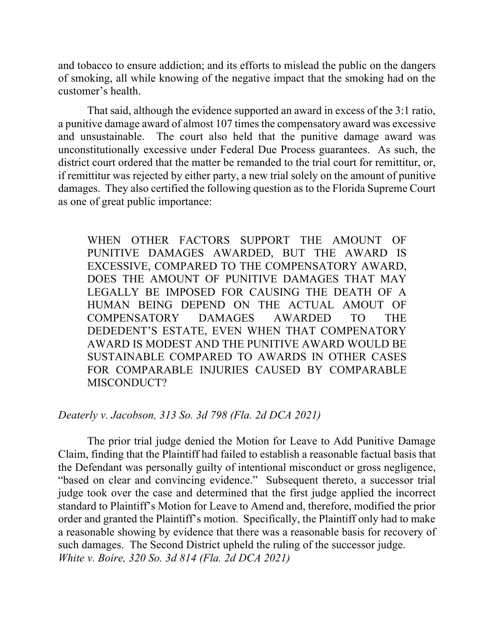and tobacco to ensure addiction; and its efforts to mislead the public on the dangers of smoking, all while knowing of the negative impact that the smoking had on the customer's health.

That said, although the evidence supported an award in excess of the 3:1 ratio, a punitive damage award of almost 107 times the compensatory award was excessive and unsustainable. The court also held that the punitive damage award was unconstitutionally excessive under Federal Due Process guarantees. As such, the district court ordered that the matter be remanded to the trial court for remittitur, or, if remittitur was rejected by either party, a new trial solely on the amount of punitive damages. They also certified the following question as to the Florida Supreme Court as one of great public importance:

WHEN OTHER FACTORS SUPPORT THE AMOUNT OF PUNITIVE DAMAGES AWARDED, BUT THE AWARD IS EXCESSIVE, COMPARED TO THE COMPENSATORY AWARD, DOES THE AMOUNT OF PUNITIVE DAMAGES THAT MAY LEGALLY BE IMPOSED FOR CAUSING THE DEATH OF A HUMAN BEING DEPEND ON THE ACTUAL AMOUT OF COMPENSATORY DAMAGES AWARDED TO THE DEDEDENT'S ESTATE, EVEN WHEN THAT COMPENATORY AWARD IS MODEST AND THE PUNITIVE AWARD WOULD BE SUSTAINABLE COMPARED TO AWARDS IN OTHER CASES FOR COMPARABLE INJURIES CAUSED BY COMPARABLE MISCONDUCT?

#### *Deaterly v. Jacobson, 313 So. 3d 798 (Fla. 2d DCA 2021)*

The prior trial judge denied the Motion for Leave to Add Punitive Damage Claim, finding that the Plaintiff had failed to establish a reasonable factual basis that the Defendant was personally guilty of intentional misconduct or gross negligence, "based on clear and convincing evidence." Subsequent thereto, a successor trial judge took over the case and determined that the first judge applied the incorrect standard to Plaintiff's Motion for Leave to Amend and, therefore, modified the prior order and granted the Plaintiff's motion. Specifically, the Plaintiff only had to make a reasonable showing by evidence that there was a reasonable basis for recovery of such damages. The Second District upheld the ruling of the successor judge. *White v. Boire, 320 So. 3d 814 (Fla. 2d DCA 2021)*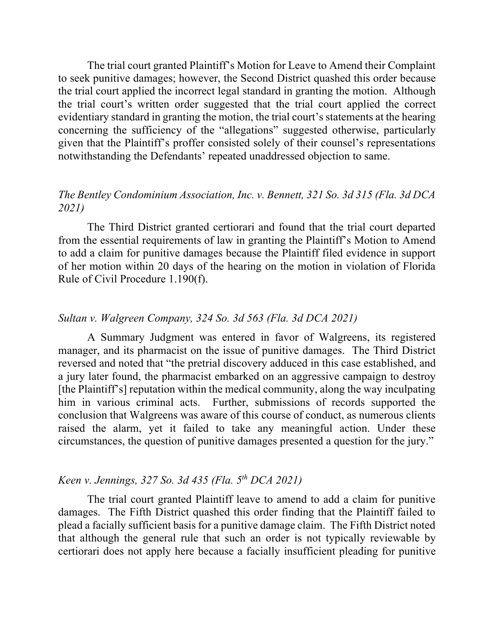The trial court granted Plaintiff's Motion for Leave to Amend their Complaint to seek punitive damages; however, the Second District quashed this order because the trial court applied the incorrect legal standard in granting the motion. Although the trial court's written order suggested that the trial court applied the correct evidentiary standard in granting the motion, the trial court's statements at the hearing concerning the sufficiency of the "allegations" suggested otherwise, particularly given that the Plaintiff's proffer consisted solely of their counsel's representations notwithstanding the Defendants' repeated unaddressed objection to same.

## *The Bentley Condominium Association, Inc. v. Bennett, 321 So. 3d 315 (Fla. 3d DCA 2021)*

The Third District granted certiorari and found that the trial court departed from the essential requirements of law in granting the Plaintiff's Motion to Amend to add a claim for punitive damages because the Plaintiff filed evidence in support of her motion within 20 days of the hearing on the motion in violation of Florida Rule of Civil Procedure 1.190(f).

#### *Sultan v. Walgreen Company, 324 So. 3d 563 (Fla. 3d DCA 2021)*

A Summary Judgment was entered in favor of Walgreens, its registered manager, and its pharmacist on the issue of punitive damages. The Third District reversed and noted that "the pretrial discovery adduced in this case established, and a jury later found, the pharmacist embarked on an aggressive campaign to destroy [the Plaintiff's] reputation within the medical community, along the way inculpating him in various criminal acts. Further, submissions of records supported the conclusion that Walgreens was aware of this course of conduct, as numerous clients raised the alarm, yet it failed to take any meaningful action. Under these circumstances, the question of punitive damages presented a question for the jury."

## *Keen v. Jennings, 327 So. 3d 435 (Fla. 5th DCA 2021)*

The trial court granted Plaintiff leave to amend to add a claim for punitive damages. The Fifth District quashed this order finding that the Plaintiff failed to plead a facially sufficient basis for a punitive damage claim. The Fifth District noted that although the general rule that such an order is not typically reviewable by certiorari does not apply here because a facially insufficient pleading for punitive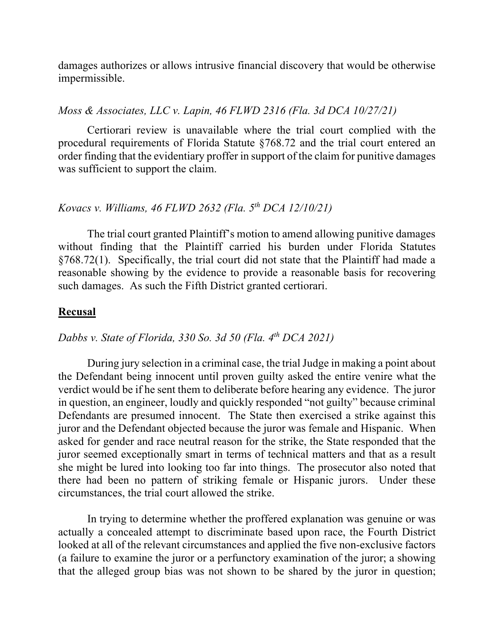damages authorizes or allows intrusive financial discovery that would be otherwise impermissible.

#### *Moss & Associates, LLC v. Lapin, 46 FLWD 2316 (Fla. 3d DCA 10/27/21)*

Certiorari review is unavailable where the trial court complied with the procedural requirements of Florida Statute §768.72 and the trial court entered an order finding that the evidentiary proffer in support of the claim for punitive damages was sufficient to support the claim.

## *Kovacs v. Williams, 46 FLWD 2632 (Fla. 5th DCA 12/10/21)*

The trial court granted Plaintiff's motion to amend allowing punitive damages without finding that the Plaintiff carried his burden under Florida Statutes §768.72(1). Specifically, the trial court did not state that the Plaintiff had made a reasonable showing by the evidence to provide a reasonable basis for recovering such damages. As such the Fifth District granted certiorari.

#### **Recusal**

## *Dabbs v. State of Florida, 330 So. 3d 50 (Fla. 4th DCA 2021)*

During jury selection in a criminal case, the trial Judge in making a point about the Defendant being innocent until proven guilty asked the entire venire what the verdict would be if he sent them to deliberate before hearing any evidence. The juror in question, an engineer, loudly and quickly responded "not guilty" because criminal Defendants are presumed innocent. The State then exercised a strike against this juror and the Defendant objected because the juror was female and Hispanic. When asked for gender and race neutral reason for the strike, the State responded that the juror seemed exceptionally smart in terms of technical matters and that as a result she might be lured into looking too far into things. The prosecutor also noted that there had been no pattern of striking female or Hispanic jurors. Under these circumstances, the trial court allowed the strike.

In trying to determine whether the proffered explanation was genuine or was actually a concealed attempt to discriminate based upon race, the Fourth District looked at all of the relevant circumstances and applied the five non-exclusive factors (a failure to examine the juror or a perfunctory examination of the juror; a showing that the alleged group bias was not shown to be shared by the juror in question;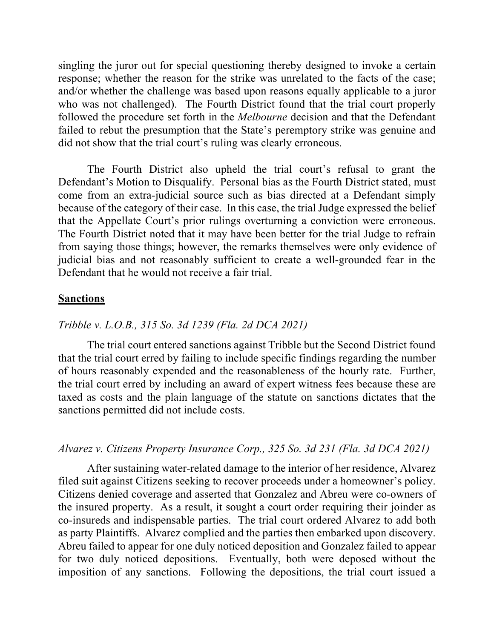singling the juror out for special questioning thereby designed to invoke a certain response; whether the reason for the strike was unrelated to the facts of the case; and/or whether the challenge was based upon reasons equally applicable to a juror who was not challenged). The Fourth District found that the trial court properly followed the procedure set forth in the *Melbourne* decision and that the Defendant failed to rebut the presumption that the State's peremptory strike was genuine and did not show that the trial court's ruling was clearly erroneous.

The Fourth District also upheld the trial court's refusal to grant the Defendant's Motion to Disqualify. Personal bias as the Fourth District stated, must come from an extra-judicial source such as bias directed at a Defendant simply because of the category of their case. In this case, the trial Judge expressed the belief that the Appellate Court's prior rulings overturning a conviction were erroneous. The Fourth District noted that it may have been better for the trial Judge to refrain from saying those things; however, the remarks themselves were only evidence of judicial bias and not reasonably sufficient to create a well-grounded fear in the Defendant that he would not receive a fair trial.

### **Sanctions**

### *Tribble v. L.O.B., 315 So. 3d 1239 (Fla. 2d DCA 2021)*

The trial court entered sanctions against Tribble but the Second District found that the trial court erred by failing to include specific findings regarding the number of hours reasonably expended and the reasonableness of the hourly rate. Further, the trial court erred by including an award of expert witness fees because these are taxed as costs and the plain language of the statute on sanctions dictates that the sanctions permitted did not include costs.

### *Alvarez v. Citizens Property Insurance Corp., 325 So. 3d 231 (Fla. 3d DCA 2021)*

After sustaining water-related damage to the interior of her residence, Alvarez filed suit against Citizens seeking to recover proceeds under a homeowner's policy. Citizens denied coverage and asserted that Gonzalez and Abreu were co-owners of the insured property. As a result, it sought a court order requiring their joinder as co-insureds and indispensable parties. The trial court ordered Alvarez to add both as party Plaintiffs. Alvarez complied and the parties then embarked upon discovery. Abreu failed to appear for one duly noticed deposition and Gonzalez failed to appear for two duly noticed depositions. Eventually, both were deposed without the imposition of any sanctions. Following the depositions, the trial court issued a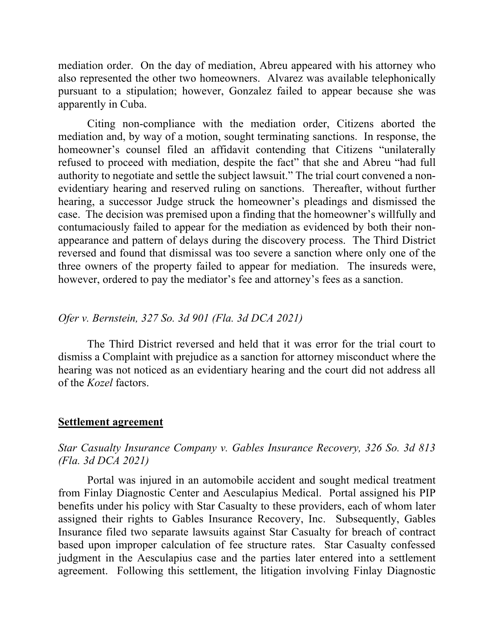mediation order. On the day of mediation, Abreu appeared with his attorney who also represented the other two homeowners. Alvarez was available telephonically pursuant to a stipulation; however, Gonzalez failed to appear because she was apparently in Cuba.

Citing non-compliance with the mediation order, Citizens aborted the mediation and, by way of a motion, sought terminating sanctions. In response, the homeowner's counsel filed an affidavit contending that Citizens "unilaterally refused to proceed with mediation, despite the fact" that she and Abreu "had full authority to negotiate and settle the subject lawsuit." The trial court convened a nonevidentiary hearing and reserved ruling on sanctions. Thereafter, without further hearing, a successor Judge struck the homeowner's pleadings and dismissed the case. The decision was premised upon a finding that the homeowner's willfully and contumaciously failed to appear for the mediation as evidenced by both their nonappearance and pattern of delays during the discovery process. The Third District reversed and found that dismissal was too severe a sanction where only one of the three owners of the property failed to appear for mediation. The insureds were, however, ordered to pay the mediator's fee and attorney's fees as a sanction.

### *Ofer v. Bernstein, 327 So. 3d 901 (Fla. 3d DCA 2021)*

The Third District reversed and held that it was error for the trial court to dismiss a Complaint with prejudice as a sanction for attorney misconduct where the hearing was not noticed as an evidentiary hearing and the court did not address all of the *Kozel* factors.

#### **Settlement agreement**

## *Star Casualty Insurance Company v. Gables Insurance Recovery, 326 So. 3d 813 (Fla. 3d DCA 2021)*

Portal was injured in an automobile accident and sought medical treatment from Finlay Diagnostic Center and Aesculapius Medical. Portal assigned his PIP benefits under his policy with Star Casualty to these providers, each of whom later assigned their rights to Gables Insurance Recovery, Inc. Subsequently, Gables Insurance filed two separate lawsuits against Star Casualty for breach of contract based upon improper calculation of fee structure rates. Star Casualty confessed judgment in the Aesculapius case and the parties later entered into a settlement agreement. Following this settlement, the litigation involving Finlay Diagnostic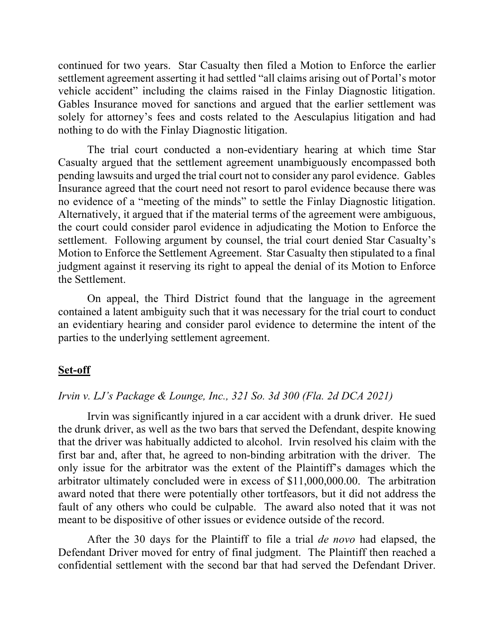continued for two years. Star Casualty then filed a Motion to Enforce the earlier settlement agreement asserting it had settled "all claims arising out of Portal's motor vehicle accident" including the claims raised in the Finlay Diagnostic litigation. Gables Insurance moved for sanctions and argued that the earlier settlement was solely for attorney's fees and costs related to the Aesculapius litigation and had nothing to do with the Finlay Diagnostic litigation.

The trial court conducted a non-evidentiary hearing at which time Star Casualty argued that the settlement agreement unambiguously encompassed both pending lawsuits and urged the trial court not to consider any parol evidence. Gables Insurance agreed that the court need not resort to parol evidence because there was no evidence of a "meeting of the minds" to settle the Finlay Diagnostic litigation. Alternatively, it argued that if the material terms of the agreement were ambiguous, the court could consider parol evidence in adjudicating the Motion to Enforce the settlement. Following argument by counsel, the trial court denied Star Casualty's Motion to Enforce the Settlement Agreement. Star Casualty then stipulated to a final judgment against it reserving its right to appeal the denial of its Motion to Enforce the Settlement.

On appeal, the Third District found that the language in the agreement contained a latent ambiguity such that it was necessary for the trial court to conduct an evidentiary hearing and consider parol evidence to determine the intent of the parties to the underlying settlement agreement.

#### **Set-off**

### *Irvin v. LJ's Package & Lounge, Inc., 321 So. 3d 300 (Fla. 2d DCA 2021)*

Irvin was significantly injured in a car accident with a drunk driver. He sued the drunk driver, as well as the two bars that served the Defendant, despite knowing that the driver was habitually addicted to alcohol. Irvin resolved his claim with the first bar and, after that, he agreed to non-binding arbitration with the driver. The only issue for the arbitrator was the extent of the Plaintiff's damages which the arbitrator ultimately concluded were in excess of \$11,000,000.00. The arbitration award noted that there were potentially other tortfeasors, but it did not address the fault of any others who could be culpable. The award also noted that it was not meant to be dispositive of other issues or evidence outside of the record.

After the 30 days for the Plaintiff to file a trial *de novo* had elapsed, the Defendant Driver moved for entry of final judgment. The Plaintiff then reached a confidential settlement with the second bar that had served the Defendant Driver.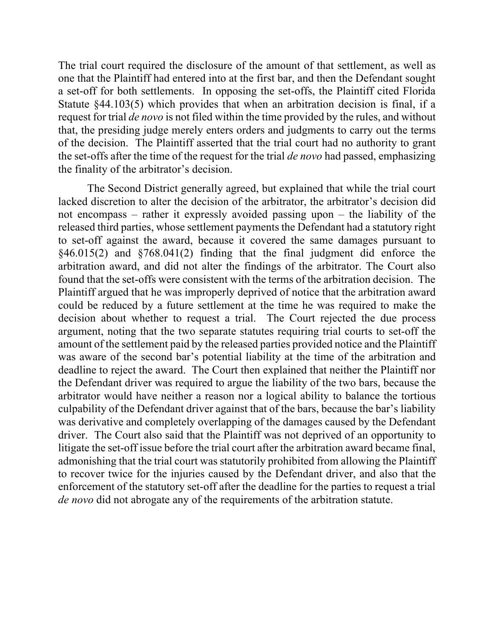The trial court required the disclosure of the amount of that settlement, as well as one that the Plaintiff had entered into at the first bar, and then the Defendant sought a set-off for both settlements. In opposing the set-offs, the Plaintiff cited Florida Statute §44.103(5) which provides that when an arbitration decision is final, if a request for trial *de novo* is not filed within the time provided by the rules, and without that, the presiding judge merely enters orders and judgments to carry out the terms of the decision. The Plaintiff asserted that the trial court had no authority to grant the set-offs after the time of the request for the trial *de novo* had passed, emphasizing the finality of the arbitrator's decision.

The Second District generally agreed, but explained that while the trial court lacked discretion to alter the decision of the arbitrator, the arbitrator's decision did not encompass – rather it expressly avoided passing upon – the liability of the released third parties, whose settlement payments the Defendant had a statutory right to set-off against the award, because it covered the same damages pursuant to §46.015(2) and §768.041(2) finding that the final judgment did enforce the arbitration award, and did not alter the findings of the arbitrator. The Court also found that the set-offs were consistent with the terms of the arbitration decision. The Plaintiff argued that he was improperly deprived of notice that the arbitration award could be reduced by a future settlement at the time he was required to make the decision about whether to request a trial. The Court rejected the due process argument, noting that the two separate statutes requiring trial courts to set-off the amount of the settlement paid by the released parties provided notice and the Plaintiff was aware of the second bar's potential liability at the time of the arbitration and deadline to reject the award. The Court then explained that neither the Plaintiff nor the Defendant driver was required to argue the liability of the two bars, because the arbitrator would have neither a reason nor a logical ability to balance the tortious culpability of the Defendant driver against that of the bars, because the bar's liability was derivative and completely overlapping of the damages caused by the Defendant driver. The Court also said that the Plaintiff was not deprived of an opportunity to litigate the set-off issue before the trial court after the arbitration award became final, admonishing that the trial court was statutorily prohibited from allowing the Plaintiff to recover twice for the injuries caused by the Defendant driver, and also that the enforcement of the statutory set-off after the deadline for the parties to request a trial *de novo* did not abrogate any of the requirements of the arbitration statute.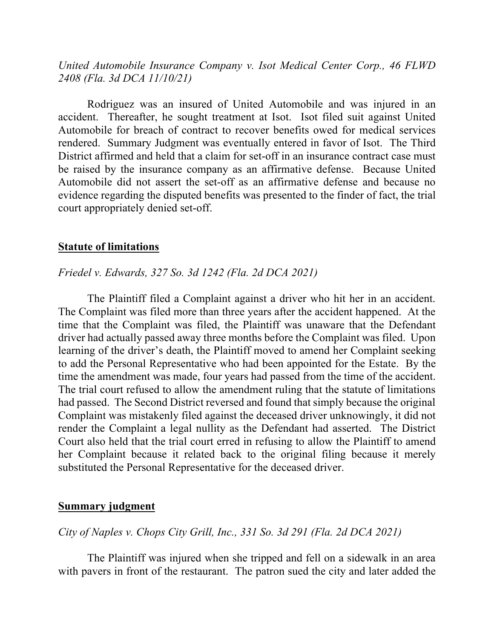*United Automobile Insurance Company v. Isot Medical Center Corp., 46 FLWD 2408 (Fla. 3d DCA 11/10/21)*

Rodriguez was an insured of United Automobile and was injured in an accident. Thereafter, he sought treatment at Isot. Isot filed suit against United Automobile for breach of contract to recover benefits owed for medical services rendered. Summary Judgment was eventually entered in favor of Isot. The Third District affirmed and held that a claim for set-off in an insurance contract case must be raised by the insurance company as an affirmative defense. Because United Automobile did not assert the set-off as an affirmative defense and because no evidence regarding the disputed benefits was presented to the finder of fact, the trial court appropriately denied set-off.

#### **Statute of limitations**

#### *Friedel v. Edwards, 327 So. 3d 1242 (Fla. 2d DCA 2021)*

The Plaintiff filed a Complaint against a driver who hit her in an accident. The Complaint was filed more than three years after the accident happened. At the time that the Complaint was filed, the Plaintiff was unaware that the Defendant driver had actually passed away three months before the Complaint was filed. Upon learning of the driver's death, the Plaintiff moved to amend her Complaint seeking to add the Personal Representative who had been appointed for the Estate. By the time the amendment was made, four years had passed from the time of the accident. The trial court refused to allow the amendment ruling that the statute of limitations had passed. The Second District reversed and found that simply because the original Complaint was mistakenly filed against the deceased driver unknowingly, it did not render the Complaint a legal nullity as the Defendant had asserted. The District Court also held that the trial court erred in refusing to allow the Plaintiff to amend her Complaint because it related back to the original filing because it merely substituted the Personal Representative for the deceased driver.

#### **Summary judgment**

## *City of Naples v. Chops City Grill, Inc., 331 So. 3d 291 (Fla. 2d DCA 2021)*

The Plaintiff was injured when she tripped and fell on a sidewalk in an area with pavers in front of the restaurant. The patron sued the city and later added the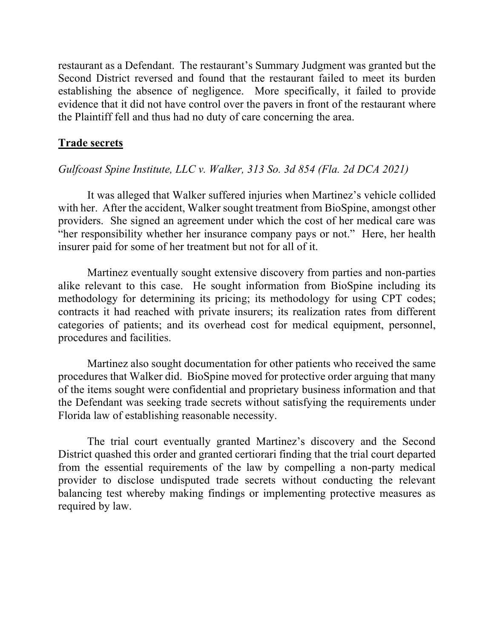restaurant as a Defendant. The restaurant's Summary Judgment was granted but the Second District reversed and found that the restaurant failed to meet its burden establishing the absence of negligence. More specifically, it failed to provide evidence that it did not have control over the pavers in front of the restaurant where the Plaintiff fell and thus had no duty of care concerning the area.

## **Trade secrets**

## *Gulfcoast Spine Institute, LLC v. Walker, 313 So. 3d 854 (Fla. 2d DCA 2021)*

It was alleged that Walker suffered injuries when Martinez's vehicle collided with her. After the accident, Walker sought treatment from BioSpine, amongst other providers. She signed an agreement under which the cost of her medical care was "her responsibility whether her insurance company pays or not." Here, her health insurer paid for some of her treatment but not for all of it.

Martinez eventually sought extensive discovery from parties and non-parties alike relevant to this case. He sought information from BioSpine including its methodology for determining its pricing; its methodology for using CPT codes; contracts it had reached with private insurers; its realization rates from different categories of patients; and its overhead cost for medical equipment, personnel, procedures and facilities.

Martinez also sought documentation for other patients who received the same procedures that Walker did. BioSpine moved for protective order arguing that many of the items sought were confidential and proprietary business information and that the Defendant was seeking trade secrets without satisfying the requirements under Florida law of establishing reasonable necessity.

The trial court eventually granted Martinez's discovery and the Second District quashed this order and granted certiorari finding that the trial court departed from the essential requirements of the law by compelling a non-party medical provider to disclose undisputed trade secrets without conducting the relevant balancing test whereby making findings or implementing protective measures as required by law.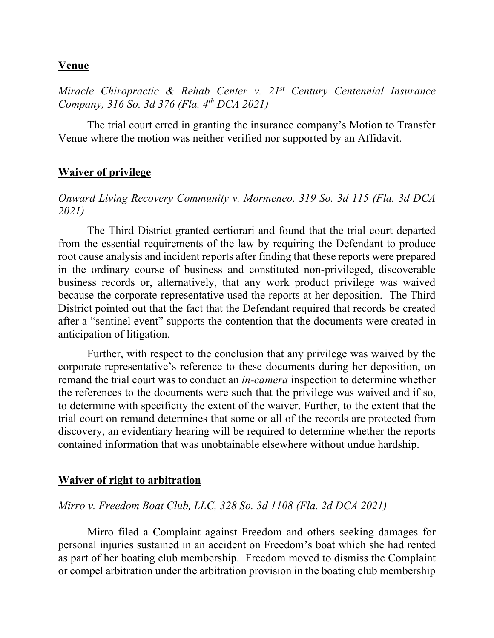## **Venue**

*Miracle Chiropractic & Rehab Center v. 21st Century Centennial Insurance Company, 316 So. 3d 376 (Fla. 4th DCA 2021)*

The trial court erred in granting the insurance company's Motion to Transfer Venue where the motion was neither verified nor supported by an Affidavit.

## **Waiver of privilege**

## *Onward Living Recovery Community v. Mormeneo, 319 So. 3d 115 (Fla. 3d DCA 2021)*

The Third District granted certiorari and found that the trial court departed from the essential requirements of the law by requiring the Defendant to produce root cause analysis and incident reports after finding that these reports were prepared in the ordinary course of business and constituted non-privileged, discoverable business records or, alternatively, that any work product privilege was waived because the corporate representative used the reports at her deposition. The Third District pointed out that the fact that the Defendant required that records be created after a "sentinel event" supports the contention that the documents were created in anticipation of litigation.

Further, with respect to the conclusion that any privilege was waived by the corporate representative's reference to these documents during her deposition, on remand the trial court was to conduct an *in-camera* inspection to determine whether the references to the documents were such that the privilege was waived and if so, to determine with specificity the extent of the waiver. Further, to the extent that the trial court on remand determines that some or all of the records are protected from discovery, an evidentiary hearing will be required to determine whether the reports contained information that was unobtainable elsewhere without undue hardship.

### **Waiver of right to arbitration**

### *Mirro v. Freedom Boat Club, LLC, 328 So. 3d 1108 (Fla. 2d DCA 2021)*

Mirro filed a Complaint against Freedom and others seeking damages for personal injuries sustained in an accident on Freedom's boat which she had rented as part of her boating club membership. Freedom moved to dismiss the Complaint or compel arbitration under the arbitration provision in the boating club membership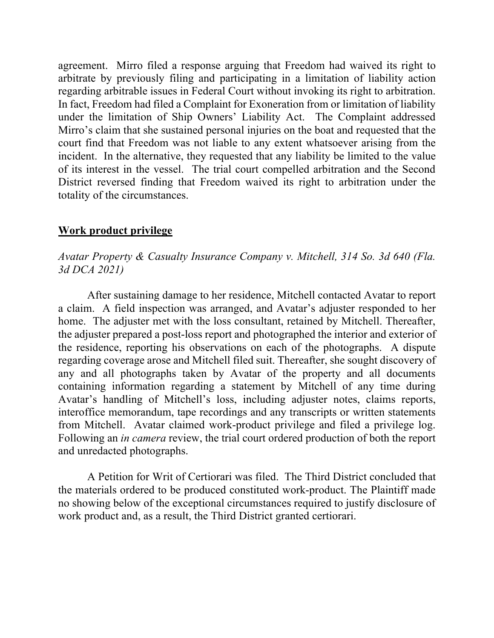agreement. Mirro filed a response arguing that Freedom had waived its right to arbitrate by previously filing and participating in a limitation of liability action regarding arbitrable issues in Federal Court without invoking its right to arbitration. In fact, Freedom had filed a Complaint for Exoneration from or limitation of liability under the limitation of Ship Owners' Liability Act. The Complaint addressed Mirro's claim that she sustained personal injuries on the boat and requested that the court find that Freedom was not liable to any extent whatsoever arising from the incident. In the alternative, they requested that any liability be limited to the value of its interest in the vessel. The trial court compelled arbitration and the Second District reversed finding that Freedom waived its right to arbitration under the totality of the circumstances.

### **Work product privilege**

*Avatar Property & Casualty Insurance Company v. Mitchell, 314 So. 3d 640 (Fla. 3d DCA 2021)*

After sustaining damage to her residence, Mitchell contacted Avatar to report a claim. A field inspection was arranged, and Avatar's adjuster responded to her home. The adjuster met with the loss consultant, retained by Mitchell. Thereafter, the adjuster prepared a post-loss report and photographed the interior and exterior of the residence, reporting his observations on each of the photographs. A dispute regarding coverage arose and Mitchell filed suit. Thereafter, she sought discovery of any and all photographs taken by Avatar of the property and all documents containing information regarding a statement by Mitchell of any time during Avatar's handling of Mitchell's loss, including adjuster notes, claims reports, interoffice memorandum, tape recordings and any transcripts or written statements from Mitchell. Avatar claimed work-product privilege and filed a privilege log. Following an *in camera* review, the trial court ordered production of both the report and unredacted photographs.

A Petition for Writ of Certiorari was filed. The Third District concluded that the materials ordered to be produced constituted work-product. The Plaintiff made no showing below of the exceptional circumstances required to justify disclosure of work product and, as a result, the Third District granted certiorari.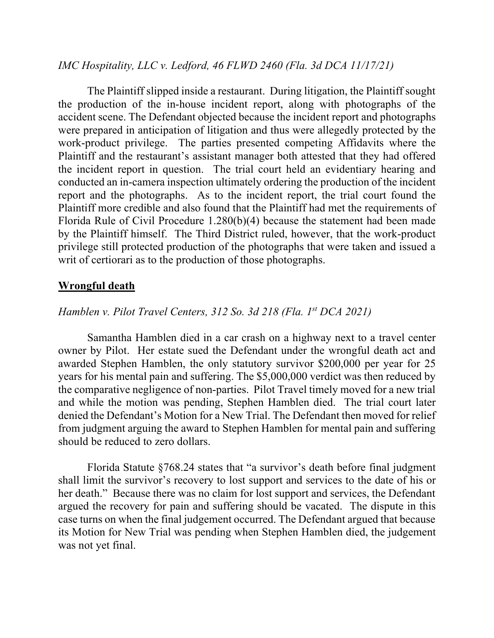## *IMC Hospitality, LLC v. Ledford, 46 FLWD 2460 (Fla. 3d DCA 11/17/21)*

The Plaintiff slipped inside a restaurant. During litigation, the Plaintiff sought the production of the in-house incident report, along with photographs of the accident scene. The Defendant objected because the incident report and photographs were prepared in anticipation of litigation and thus were allegedly protected by the work-product privilege. The parties presented competing Affidavits where the Plaintiff and the restaurant's assistant manager both attested that they had offered the incident report in question. The trial court held an evidentiary hearing and conducted an in-camera inspection ultimately ordering the production of the incident report and the photographs. As to the incident report, the trial court found the Plaintiff more credible and also found that the Plaintiff had met the requirements of Florida Rule of Civil Procedure 1.280(b)(4) because the statement had been made by the Plaintiff himself. The Third District ruled, however, that the work-product privilege still protected production of the photographs that were taken and issued a writ of certiorari as to the production of those photographs.

## **Wrongful death**

### *Hamblen v. Pilot Travel Centers, 312 So. 3d 218 (Fla. 1st DCA 2021)*

Samantha Hamblen died in a car crash on a highway next to a travel center owner by Pilot. Her estate sued the Defendant under the wrongful death act and awarded Stephen Hamblen, the only statutory survivor \$200,000 per year for 25 years for his mental pain and suffering. The \$5,000,000 verdict was then reduced by the comparative negligence of non-parties. Pilot Travel timely moved for a new trial and while the motion was pending, Stephen Hamblen died. The trial court later denied the Defendant's Motion for a New Trial. The Defendant then moved for relief from judgment arguing the award to Stephen Hamblen for mental pain and suffering should be reduced to zero dollars.

Florida Statute §768.24 states that "a survivor's death before final judgment shall limit the survivor's recovery to lost support and services to the date of his or her death." Because there was no claim for lost support and services, the Defendant argued the recovery for pain and suffering should be vacated. The dispute in this case turns on when the final judgement occurred. The Defendant argued that because its Motion for New Trial was pending when Stephen Hamblen died, the judgement was not yet final.